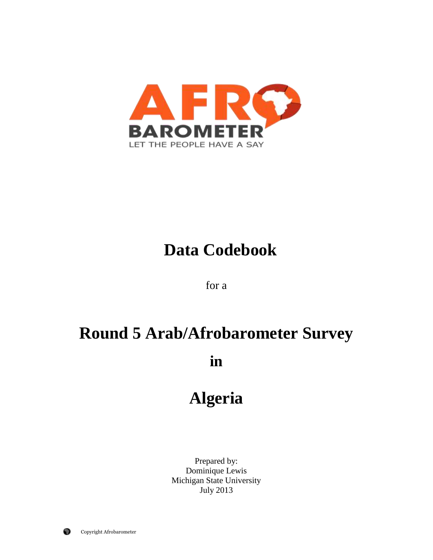

# **Data Codebook**

for a

# **Round 5 Arab/Afrobarometer Survey**

**in**

# **Algeria**

Prepared by: Dominique Lewis Michigan State University July 2013

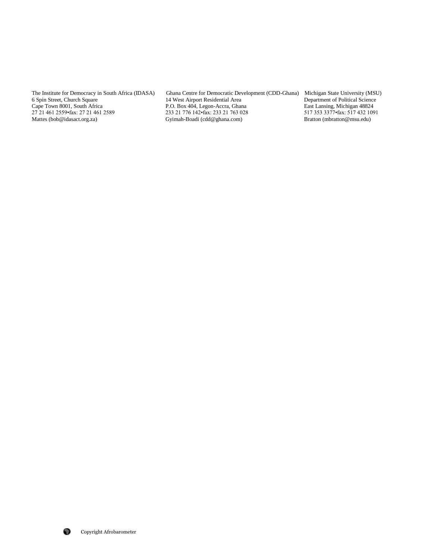The Institute for Democracy in South Africa (IDASA) Ghana Centre for Democratic Development (CDD-Ghana) Michigan State University (MSU) 6 Spin Street, Church Square 14 West Airport Residential Area Department of Political 6 Spin Street, Church Square 14 West Airport Residential Area 14 West Airport Residential Area 14 West Airport Residential Area 14 West Airport Residential Area 14 Meet 16 Department of Political Science 2014, Legon-Accra, Cape Town 8001, South Africa 27 21 461 2589 P.O. Box 404, Legon-Accra, Ghana East Lansing, Michigan 48824 27 21 461 2559 fax: 27 21 461 2589 233 21 776 142 fax: 233 21 763 028 517 353 3377 fax: 517 432 1091 27 21 461 2559•fax: 27 21 461 2589 233 21 776 142•fax: 233 21 763 028 517 353 3377•fax: 517 432 10<br>
Mattes (bob@idasact.org.za) Gyimah-Boadi (cdd@ghana.com) Bratton (mbratton@msu.edu) Gyimah-Boadi (cdd@ghana.com)

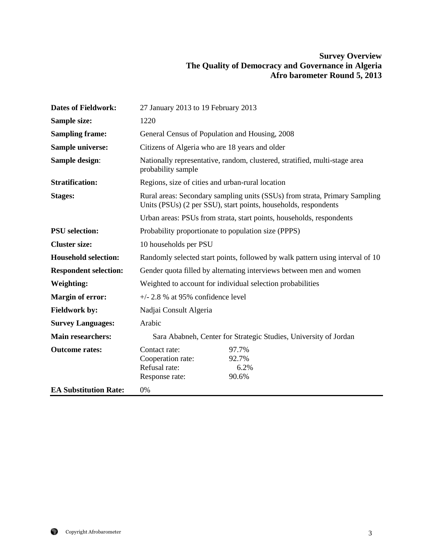# **Survey Overview The Quality of Democracy and Governance in Algeria Afro barometer Round 5, 2013**

| <b>Dates of Fieldwork:</b>   | 27 January 2013 to 19 February 2013                                                                                                           |                                 |  |
|------------------------------|-----------------------------------------------------------------------------------------------------------------------------------------------|---------------------------------|--|
| Sample size:                 | 1220                                                                                                                                          |                                 |  |
| <b>Sampling frame:</b>       | General Census of Population and Housing, 2008                                                                                                |                                 |  |
| <b>Sample universe:</b>      | Citizens of Algeria who are 18 years and older                                                                                                |                                 |  |
| Sample design:               | Nationally representative, random, clustered, stratified, multi-stage area<br>probability sample                                              |                                 |  |
| <b>Stratification:</b>       | Regions, size of cities and urban-rural location                                                                                              |                                 |  |
| <b>Stages:</b>               | Rural areas: Secondary sampling units (SSUs) from strata, Primary Sampling<br>Units (PSUs) (2 per SSU), start points, households, respondents |                                 |  |
|                              | Urban areas: PSUs from strata, start points, households, respondents                                                                          |                                 |  |
| <b>PSU</b> selection:        | Probability proportionate to population size (PPPS)                                                                                           |                                 |  |
| <b>Cluster size:</b>         | 10 households per PSU                                                                                                                         |                                 |  |
| <b>Household selection:</b>  | Randomly selected start points, followed by walk pattern using interval of 10                                                                 |                                 |  |
| <b>Respondent selection:</b> | Gender quota filled by alternating interviews between men and women                                                                           |                                 |  |
| <b>Weighting:</b>            | Weighted to account for individual selection probabilities                                                                                    |                                 |  |
| <b>Margin of error:</b>      | $+/- 2.8$ % at 95% confidence level                                                                                                           |                                 |  |
| <b>Fieldwork by:</b>         | Nadjai Consult Algeria                                                                                                                        |                                 |  |
| <b>Survey Languages:</b>     | Arabic                                                                                                                                        |                                 |  |
| <b>Main researchers:</b>     | Sara Ababneh, Center for Strategic Studies, University of Jordan                                                                              |                                 |  |
| <b>Outcome rates:</b>        | Contact rate:<br>Cooperation rate:<br>Refusal rate:<br>Response rate:                                                                         | 97.7%<br>92.7%<br>6.2%<br>90.6% |  |
| <b>EA Substitution Rate:</b> | 0%                                                                                                                                            |                                 |  |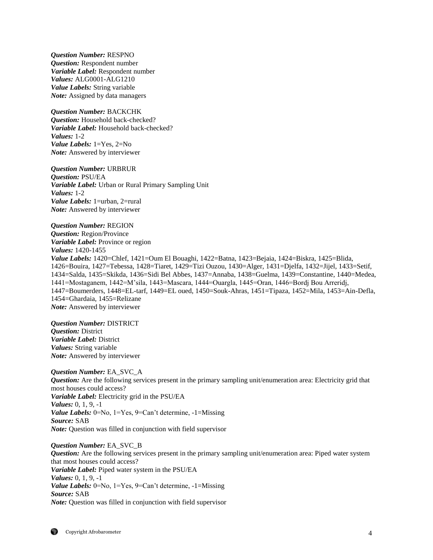*Question Number:* RESPNO *Question:* Respondent number *Variable Label:* Respondent number *Values:* ALG0001-ALG1210 *Value Labels:* String variable *Note:* Assigned by data managers

*Question Number:* BACKCHK *Question:* Household back-checked? *Variable Label:* Household back-checked? *Values:* 1-2 *Value Labels:* 1=Yes, 2=No *Note:* Answered by interviewer

*Question Number:* URBRUR *Question:* PSU/EA *Variable Label:* Urban or Rural Primary Sampling Unit *Values:* 1-2 *Value Labels:* 1=urban, 2=rural *Note:* Answered by interviewer

*Question Number:* REGION *Question:* Region/Province *Variable Label:* Province or region *Values:* 1420-1455 *Value Labels:* 1420=Chlef, 1421=Oum El Bouaghi, 1422=Batna, 1423=Bejaia, 1424=Biskra, 1425=Blida, 1426=Bouira, 1427=Tebessa, 1428=Tiaret, 1429=Tizi Ouzou, 1430=Alger, 1431=Djelfa, 1432=Jijel, 1433=Setif, 1434=Salda, 1435=Skikda, 1436=Sidi Bel Abbes, 1437=Annaba, 1438=Guelma, 1439=Constantine, 1440=Medea, 1441=Mostaganem, 1442=M'sila, 1443=Mascara, 1444=Ouargla, 1445=Oran, 1446=Bordj Bou Arreridj, 1447=Boumerders, 1448=EL-tarf, 1449=EL oued, 1450=Souk-Ahras, 1451=Tipaza, 1452=Mila, 1453=Ain-Defla, 1454=Ghardaia, 1455=Relizane *Note:* Answered by interviewer

*Question Number:* DISTRICT *Question:* District *Variable Label:* District *Values:* String variable *Note:* Answered by interviewer

*Question Number:* EA\_SVC\_A *Question:* Are the following services present in the primary sampling unit/enumeration area: Electricity grid that most houses could access? *Variable Label:* Electricity grid in the PSU/EA *Values:* 0, 1, 9, -1 *Value Labels:* 0=No, 1=Yes, 9=Can't determine, -1=Missing *Source:* SAB *Note:* Ouestion was filled in conjunction with field supervisor

*Question Number:* EA\_SVC\_B *Question:* Are the following services present in the primary sampling unit/enumeration area: Piped water system that most houses could access? *Variable Label:* Piped water system in the PSU/EA *Values:* 0, 1, 9, -1 *Value Labels:* 0=No, 1=Yes, 9=Can't determine, -1=Missing *Source:* SAB *Note:* Question was filled in conjunction with field supervisor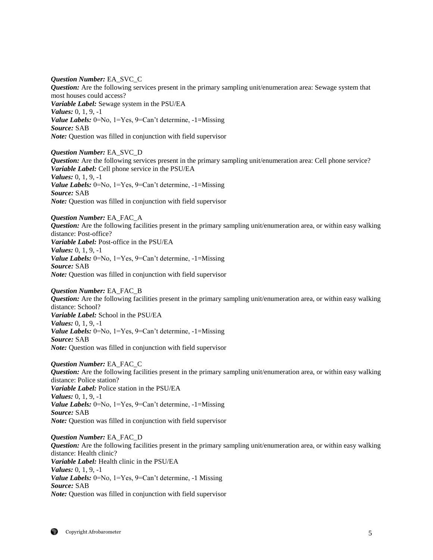*Question Number:* EA\_SVC\_C *Question:* Are the following services present in the primary sampling unit/enumeration area: Sewage system that most houses could access? *Variable Label:* Sewage system in the PSU/EA *Values:* 0, 1, 9, -1 *Value Labels:* 0=No, 1=Yes, 9=Can't determine, -1=Missing *Source:* SAB *Note:* Question was filled in conjunction with field supervisor

*Question Number:* EA\_SVC\_D *Question:* Are the following services present in the primary sampling unit/enumeration area: Cell phone service? *Variable Label:* Cell phone service in the PSU/EA *Values:* 0, 1, 9, -1 *Value Labels:* 0=No, 1=Yes, 9=Can't determine, -1=Missing *Source:* SAB *Note:* Question was filled in conjunction with field supervisor

*Question Number:* EA\_FAC\_A *Question:* Are the following facilities present in the primary sampling unit/enumeration area, or within easy walking distance: Post-office? *Variable Label:* Post-office in the PSU/EA *Values:* 0, 1, 9, -1 *Value Labels:* 0=No, 1=Yes, 9=Can't determine, -1=Missing *Source:* SAB *Note:* Question was filled in conjunction with field supervisor

*Question Number:* EA\_FAC\_B *Question:* Are the following facilities present in the primary sampling unit/enumeration area, or within easy walking distance: School? *Variable Label:* School in the PSU/EA *Values:* 0, 1, 9, -1 *Value Labels:* 0=No, 1=Yes, 9=Can't determine, -1=Missing *Source:* SAB *Note:* Question was filled in conjunction with field supervisor

*Question Number:* EA\_FAC\_C *Question:* Are the following facilities present in the primary sampling unit/enumeration area, or within easy walking distance: Police station? *Variable Label:* Police station in the PSU/EA *Values:* 0, 1, 9, -1 *Value Labels:* 0=No, 1=Yes, 9=Can't determine, -1=Missing *Source:* SAB *Note:* Question was filled in conjunction with field supervisor

*Question Number:* EA\_FAC\_D *Question:* Are the following facilities present in the primary sampling unit/enumeration area, or within easy walking distance: Health clinic? *Variable Label:* Health clinic in the PSU/EA *Values:* 0, 1, 9, -1 *Value Labels:* 0=No, 1=Yes, 9=Can't determine, -1 Missing *Source:* SAB *Note:* Question was filled in conjunction with field supervisor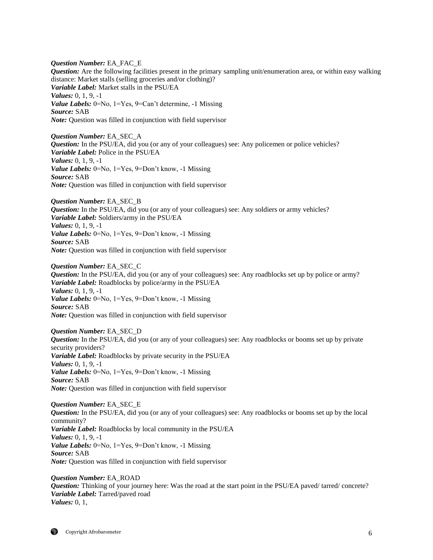*Question Number:* EA\_FAC\_E *Question:* Are the following facilities present in the primary sampling unit/enumeration area, or within easy walking distance: Market stalls (selling groceries and/or clothing)? *Variable Label:* Market stalls in the PSU/EA *Values:* 0, 1, 9, -1 *Value Labels:* 0=No, 1=Yes, 9=Can't determine, -1 Missing *Source:* SAB *Note:* Question was filled in conjunction with field supervisor

*Question Number:* EA\_SEC\_A *Question:* In the PSU/EA, did you (or any of your colleagues) see: Any policemen or police vehicles? *Variable Label:* Police in the PSU/EA *Values:* 0, 1, 9, -1 *Value Labels:* 0=No, 1=Yes, 9=Don't know, -1 Missing *Source:* SAB *Note:* Question was filled in conjunction with field supervisor

*Question Number:* EA\_SEC\_B *Question:* In the PSU/EA, did you (or any of your colleagues) see: Any soldiers or army vehicles? *Variable Label:* Soldiers/army in the PSU/EA *Values:* 0, 1, 9, -1 *Value Labels:* 0=No, 1=Yes, 9=Don't know, -1 Missing *Source:* SAB *Note:* Question was filled in conjunction with field supervisor

*Question Number:* EA\_SEC\_C *Question:* In the PSU/EA, did you (or any of your colleagues) see: Any roadblocks set up by police or army? *Variable Label:* Roadblocks by police/army in the PSU/EA *Values:* 0, 1, 9, -1 *Value Labels:* 0=No, 1=Yes, 9=Don't know, -1 Missing *Source:* SAB *Note:* Question was filled in conjunction with field supervisor

*Question Number:* EA\_SEC\_D *Question:* In the PSU/EA, did you (or any of your colleagues) see: Any roadblocks or booms set up by private security providers? *Variable Label:* Roadblocks by private security in the PSU/EA *Values:* 0, 1, 9, -1 *Value Labels:* 0=No, 1=Yes, 9=Don't know, -1 Missing *Source:* SAB *Note:* Question was filled in conjunction with field supervisor

*Question Number:* EA\_SEC\_E *Question:* In the PSU/EA, did you (or any of your colleagues) see: Any roadblocks or booms set up by the local community? *Variable Label:* Roadblocks by local community in the PSU/EA *Values:* 0, 1, 9, -1 *Value Labels:* 0=No, 1=Yes, 9=Don't know, -1 Missing *Source:* SAB *Note:* Question was filled in conjunction with field supervisor

*Question Number:* EA\_ROAD *Question:* Thinking of your journey here: Was the road at the start point in the PSU/EA paved/ tarred/ concrete? *Variable Label:* Tarred/paved road *Values:* 0, 1,

Copyright Afrobarometer 6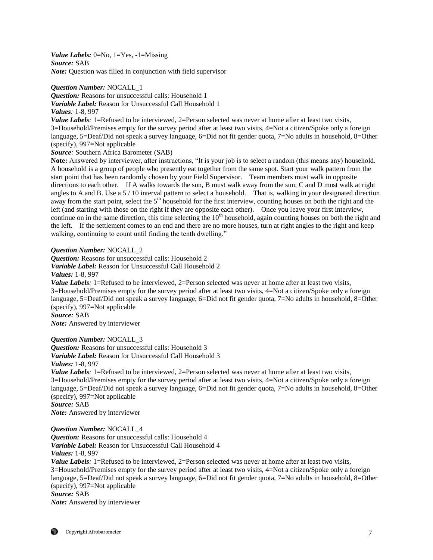*Value Labels:* 0=No, 1=Yes, -1=Missing *Source:* SAB *Note:* Question was filled in conjunction with field supervisor

*Question Number:* NOCALL\_1

*Question:* Reasons for unsuccessful calls: Household 1 *Variable Label:* Reason for Unsuccessful Call Household 1 *Values:* 1-8, 997

*Value Labels*: 1=Refused to be interviewed, 2=Person selected was never at home after at least two visits, 3=Household/Premises empty for the survey period after at least two visits, 4=Not a citizen/Spoke only a foreign language, 5=Deaf/Did not speak a survey language, 6=Did not fit gender quota, 7=No adults in household, 8=Other (specify), 997=Not applicable

*Source:* Southern Africa Barometer (SAB)

**Note:** Answered by interviewer, after instructions, "It is your job is to select a random (this means any) household. A household is a group of people who presently eat together from the same spot. Start your walk pattern from the start point that has been randomly chosen by your Field Supervisor. Team members must walk in opposite directions to each other. If A walks towards the sun, B must walk away from the sun; C and D must walk at right angles to A and B. Use a 5 / 10 interval pattern to select a household. That is, walking in your designated direction away from the start point, select the  $5<sup>th</sup>$  household for the first interview, counting houses on both the right and the left (and starting with those on the right if they are opposite each other). Once you leave your first interview, continue on in the same direction, this time selecting the  $10<sup>th</sup>$  household, again counting houses on both the right and the left. If the settlement comes to an end and there are no more houses, turn at right angles to the right and keep walking, continuing to count until finding the tenth dwelling."

*Question Number:* NOCALL\_2

*Question:* Reasons for unsuccessful calls: Household 2 *Variable Label:* Reason for Unsuccessful Call Household 2 *Values:* 1-8, 997

*Value Labels*: 1=Refused to be interviewed, 2=Person selected was never at home after at least two visits, 3=Household/Premises empty for the survey period after at least two visits, 4=Not a citizen/Spoke only a foreign language, 5=Deaf/Did not speak a survey language, 6=Did not fit gender quota, 7=No adults in household, 8=Other (specify), 997=Not applicable

*Source:* SAB

*Note:* Answered by interviewer

*Question Number:* NOCALL\_3

*Question:* Reasons for unsuccessful calls: Household 3 *Variable Label:* Reason for Unsuccessful Call Household 3

*Values:* 1-8, 997

*Value Labels*: 1=Refused to be interviewed, 2=Person selected was never at home after at least two visits, 3=Household/Premises empty for the survey period after at least two visits, 4=Not a citizen/Spoke only a foreign language, 5=Deaf/Did not speak a survey language, 6=Did not fit gender quota, 7=No adults in household, 8=Other (specify), 997=Not applicable *Source:* SAB

*Note:* Answered by interviewer

*Question Number:* NOCALL\_4 *Question:* Reasons for unsuccessful calls: Household 4

*Variable Label:* Reason for Unsuccessful Call Household 4 *Values:* 1-8, 997

*Value Labels*: 1=Refused to be interviewed, 2=Person selected was never at home after at least two visits, 3=Household/Premises empty for the survey period after at least two visits, 4=Not a citizen/Spoke only a foreign language, 5=Deaf/Did not speak a survey language, 6=Did not fit gender quota, 7=No adults in household, 8=Other (specify), 997=Not applicable *Source:* SAB

*Note:* Answered by interviewer

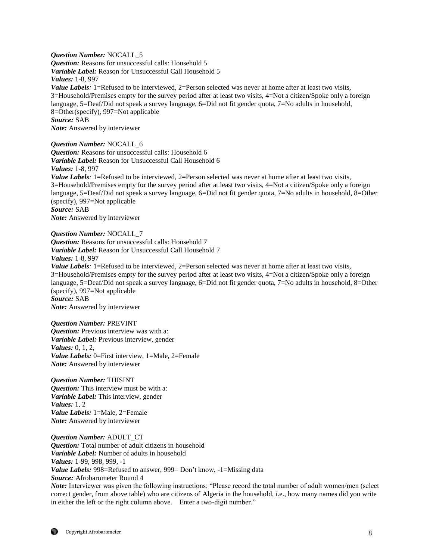*Question Number:* NOCALL\_5 *Question:* Reasons for unsuccessful calls: Household 5 *Variable Label:* Reason for Unsuccessful Call Household 5 *Values:* 1-8, 997 *Value Labels*: 1=Refused to be interviewed, 2=Person selected was never at home after at least two visits, 3=Household/Premises empty for the survey period after at least two visits, 4=Not a citizen/Spoke only a foreign language, 5=Deaf/Did not speak a survey language, 6=Did not fit gender quota, 7=No adults in household, 8=Other(specify), 997=Not applicable *Source:* SAB *Note:* Answered by interviewer

*Question Number:* NOCALL\_6

*Question:* Reasons for unsuccessful calls: Household 6 *Variable Label:* Reason for Unsuccessful Call Household 6 *Values:* 1-8, 997 *Value Labels*: 1=Refused to be interviewed, 2=Person selected was never at home after at least two visits, 3=Household/Premises empty for the survey period after at least two visits, 4=Not a citizen/Spoke only a foreign language, 5=Deaf/Did not speak a survey language, 6=Did not fit gender quota, 7=No adults in household, 8=Other (specify), 997=Not applicable *Source:* SAB *Note:* Answered by interviewer

*Question Number:* NOCALL\_7 *Question:* Reasons for unsuccessful calls: Household 7 *Variable Label:* Reason for Unsuccessful Call Household 7 *Values:* 1-8, 997 *Value Labels*: 1=Refused to be interviewed, 2=Person selected was never at home after at least two visits, 3=Household/Premises empty for the survey period after at least two visits, 4=Not a citizen/Spoke only a foreign language, 5=Deaf/Did not speak a survey language, 6=Did not fit gender quota, 7=No adults in household, 8=Other (specify), 997=Not applicable *Source:* SAB *Note:* Answered by interviewer

*Question Number:* PREVINT *Question:* Previous interview was with a: *Variable Label:* Previous interview, gender *Values:* 0, 1, 2, *Value Labels:* 0=First interview, 1=Male, 2=Female *Note:* Answered by interviewer

*Question Number:* THISINT *Question:* This interview must be with a: *Variable Label:* This interview, gender *Values:* 1, 2 *Value Labels:* 1=Male, 2=Female *Note:* Answered by interviewer

*Question Number:* ADULT\_CT *Question:* Total number of adult citizens in household *Variable Label:* Number of adults in household *Values:* 1-99, 998, 999, -1 *Value Labels:* 998=Refused to answer, 999= Don't know, -1=Missing data *Source:* Afrobarometer Round 4 *Note:* Interviewer was given the following instructions: "Please record the total number of adult women/men (select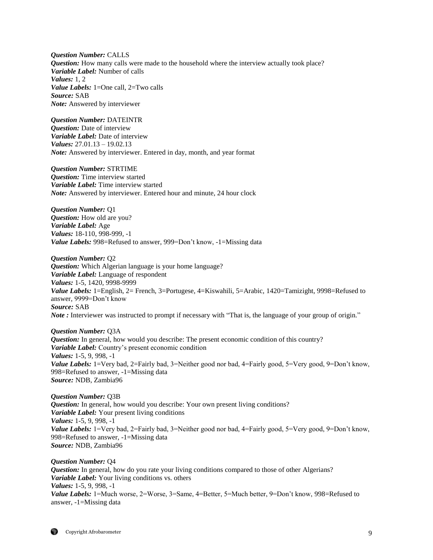*Question Number:* CALLS *Question:* How many calls were made to the household where the interview actually took place? *Variable Label:* Number of calls *Values:* 1, 2 *Value Labels:* 1=One call, 2=Two calls *Source:* SAB *Note:* Answered by interviewer

*Question Number:* DATEINTR *Question:* Date of interview *Variable Label:* Date of interview *Values:* 27.01.13 – 19.02.13 *Note:* Answered by interviewer. Entered in day, month, and year format

*Question Number:* STRTIME *Question:* Time interview started *Variable Label:* Time interview started *Note:* Answered by interviewer. Entered hour and minute, 24 hour clock

*Question Number:* Q1 *Question:* How old are you? *Variable Label:* Age *Values:* 18-110, 998-999, -1 *Value Labels:* 998=Refused to answer, 999=Don't know, -1=Missing data

*Question Number:* Q2 *Question:* Which Algerian language is your home language? *Variable Label:* Language of respondent *Values:* 1-5, 1420, 9998-9999 *Value Labels:* 1=English, 2= French, 3=Portugese, 4=Kiswahili, 5=Arabic, 1420=Tamizight, 9998=Refused to answer, 9999=Don't know *Source:* SAB *Note* : Interviewer was instructed to prompt if necessary with "That is, the language of your group of origin."

*Question Number:* Q3A *Question:* In general, how would you describe: The present economic condition of this country? *Variable Label:* Country's present economic condition *Values:* 1-5, 9, 998, -1 *Value Labels:* 1=Very bad, 2=Fairly bad, 3=Neither good nor bad, 4=Fairly good, 5=Very good, 9=Don't know, 998=Refused to answer, -1=Missing data *Source:* NDB, Zambia96

*Question Number:* Q3B **Question:** In general, how would you describe: Your own present living conditions? *Variable Label:* Your present living conditions *Values:* 1-5, 9, 998, -1 *Value Labels:* 1=Very bad, 2=Fairly bad, 3=Neither good nor bad, 4=Fairly good, 5=Very good, 9=Don't know, 998=Refused to answer, -1=Missing data *Source:* NDB, Zambia96

*Question Number:* Q4 *Question:* In general, how do you rate your living conditions compared to those of other Algerians? *Variable Label:* Your living conditions vs. others *Values:* 1-5, 9, 998, -1 *Value Labels:* 1=Much worse, 2=Worse, 3=Same, 4=Better, 5=Much better, 9=Don't know, 998=Refused to answer, -1=Missing data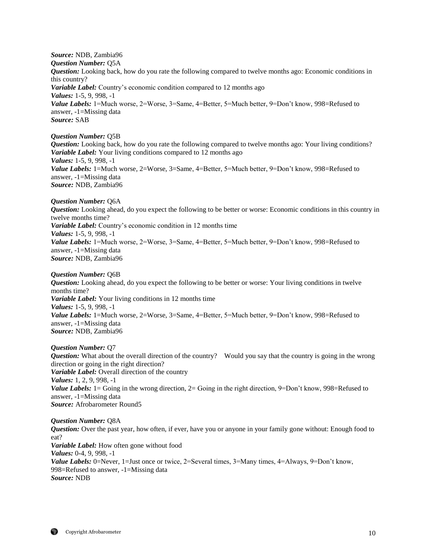*Source:* NDB, Zambia96 *Question Number:* Q5A *Question:* Looking back, how do you rate the following compared to twelve months ago: Economic conditions in this country? *Variable Label:* Country's economic condition compared to 12 months ago *Values:* 1-5, 9, 998, -1 *Value Labels:* 1=Much worse, 2=Worse, 3=Same, 4=Better, 5=Much better, 9=Don't know, 998=Refused to answer, -1=Missing data *Source:* SAB

#### *Question Number:* Q5B

*Question:* Looking back, how do you rate the following compared to twelve months ago: Your living conditions? *Variable Label:* Your living conditions compared to 12 months ago *Values:* 1-5, 9, 998, -1 *Value Labels:* 1=Much worse, 2=Worse, 3=Same, 4=Better, 5=Much better, 9=Don't know, 998=Refused to answer, -1=Missing data *Source:* NDB, Zambia96

*Question Number:* Q6A

*Question:* Looking ahead, do you expect the following to be better or worse: Economic conditions in this country in twelve months time? *Variable Label:* Country's economic condition in 12 months time *Values:* 1-5, 9, 998, -1 *Value Labels:* 1=Much worse, 2=Worse, 3=Same, 4=Better, 5=Much better, 9=Don't know, 998=Refused to answer, -1=Missing data *Source:* NDB, Zambia96

#### *Question Number:* Q6B

*Question:* Looking ahead, do you expect the following to be better or worse: Your living conditions in twelve months time? *Variable Label:* Your living conditions in 12 months time *Values:* 1-5, 9, 998, -1 *Value Labels:* 1=Much worse, 2=Worse, 3=Same, 4=Better, 5=Much better, 9=Don't know, 998=Refused to answer, -1=Missing data *Source:* NDB, Zambia96

## *Question Number:* Q7

*Question:* What about the overall direction of the country? Would you say that the country is going in the wrong direction or going in the right direction? *Variable Label:* Overall direction of the country *Values:* 1, 2, 9, 998, -1 *Value Labels:* 1 = Going in the wrong direction, 2 = Going in the right direction, 9=Don't know, 998=Refused to answer, -1=Missing data *Source:* Afrobarometer Round5

*Question Number:* Q8A *Question:* Over the past year, how often, if ever, have you or anyone in your family gone without: Enough food to eat? *Variable Label:* How often gone without food *Values:* 0-4, 9, 998, -1 *Value Labels:* 0=Never, 1=Just once or twice, 2=Several times, 3=Many times, 4=Always, 9=Don't know, 998=Refused to answer, -1=Missing data *Source:* NDB

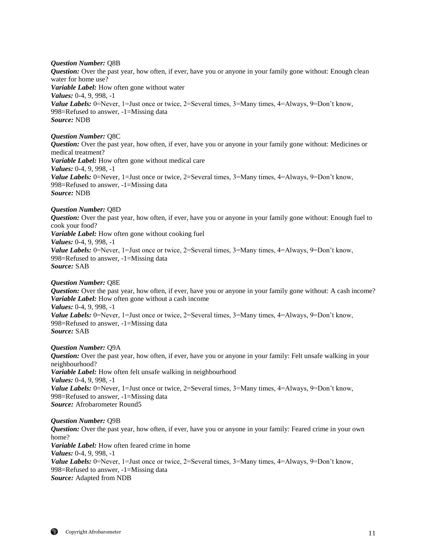## *Question Number:* Q8B

*Question:* Over the past year, how often, if ever, have you or anyone in your family gone without: Enough clean water for home use? *Variable Label:* How often gone without water *Values:* 0-4, 9, 998, -1 *Value Labels:* 0=Never, 1=Just once or twice, 2=Several times, 3=Many times, 4=Always, 9=Don't know, 998=Refused to answer, -1=Missing data *Source:* NDB

## *Question Number:* Q8C

*Question:* Over the past year, how often, if ever, have you or anyone in your family gone without: Medicines or medical treatment? *Variable Label:* How often gone without medical care *Values:* 0-4, 9, 998, -1 *Value Labels:* 0=Never, 1=Just once or twice, 2=Several times, 3=Many times, 4=Always, 9=Don't know, 998=Refused to answer, -1=Missing data *Source:* NDB

## *Question Number:* Q8D

*Question:* Over the past year, how often, if ever, have you or anyone in your family gone without: Enough fuel to cook your food? *Variable Label:* How often gone without cooking fuel *Values:* 0-4, 9, 998, -1 *Value Labels:* 0=Never, 1=Just once or twice, 2=Several times, 3=Many times, 4=Always, 9=Don't know, 998=Refused to answer, -1=Missing data *Source:* SAB

#### *Question Number:* Q8E

*Question:* Over the past year, how often, if ever, have you or anyone in your family gone without: A cash income? *Variable Label:* How often gone without a cash income *Values:* 0-4, 9, 998, -1 *Value Labels:* 0=Never, 1=Just once or twice, 2=Several times, 3=Many times, 4=Always, 9=Don't know, 998=Refused to answer, -1=Missing data *Source:* SAB

#### *Question Number:* Q9A

*Question:* Over the past year, how often, if ever, have you or anyone in your family: Felt unsafe walking in your neighbourhood? *Variable Label:* How often felt unsafe walking in neighbourhood *Values:* 0-4, 9, 998, -1 *Value Labels:* 0=Never, 1=Just once or twice, 2=Several times, 3=Many times, 4=Always, 9=Don't know, 998=Refused to answer, -1=Missing data *Source:* Afrobarometer Round5

## *Question Number:* Q9B *Question:* Over the past year, how often, if ever, have you or anyone in your family: Feared crime in your own home? *Variable Label:* How often feared crime in home *Values:* 0-4, 9, 998, -1 *Value Labels:* 0=Never, 1=Just once or twice, 2=Several times, 3=Many times, 4=Always, 9=Don't know, 998=Refused to answer, -1=Missing data *Source:* Adapted from NDB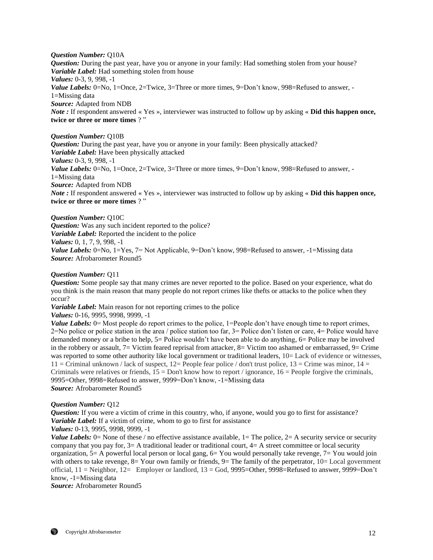#### *Question Number:* Q10A

*Question:* During the past year, have you or anyone in your family: Had something stolen from your house? *Variable Label:* Had something stolen from house *Values:* 0-3, 9, 998, -1 *Value Labels:* 0=No, 1=Once, 2=Twice, 3=Three or more times, 9=Don't know, 998=Refused to answer, -1=Missing data *Source:* Adapted from NDB *Note :* If respondent answered « Yes », interviewer was instructed to follow up by asking « **Did this happen once, twice or three or more times** ? "

## *Question Number:* Q10B

*Question:* During the past year, have you or anyone in your family: Been physically attacked? *Variable Label:* Have been physically attacked *Values:* 0-3, 9, 998, -1 *Value Labels:* 0=No, 1=Once, 2=Twice, 3=Three or more times, 9=Don't know, 998=Refused to answer, -1=Missing data *Source:* Adapted from NDB *Note :* If respondent answered « Yes », interviewer was instructed to follow up by asking « **Did this happen once, twice or three or more times** ? "

*Question Number:* Q10C *Question:* Was any such incident reported to the police? *Variable Label:* Reported the incident to the police *Values:* 0, 1, 7, 9, 998, -1 *Value Labels:* 0=No, 1=Yes, 7= Not Applicable, 9=Don't know, 998=Refused to answer, -1=Missing data *Source:* Afrobarometer Round5

## *Question Number:* Q11

*Question:* Some people say that many crimes are never reported to the police. Based on your experience, what do you think is the main reason that many people do not report crimes like thefts or attacks to the police when they occur?

*Variable Label:* Main reason for not reporting crimes to the police

*Values:* 0-16, 9995, 9998, 9999, -1

*Value Labels:* 0 = Most people do report crimes to the police, 1 = People don't have enough time to report crimes, 2=No police or police station in the area / police station too far, 3= Police don't listen or care, 4= Police would have demanded money or a bribe to help, 5= Police wouldn't have been able to do anything, 6= Police may be involved in the robbery or assault,  $7=$  Victim feared reprisal from attacker,  $8=$  Victim too ashamed or embarrassed,  $9=$  Crime was reported to some other authority like local government or traditional leaders,  $10=$  Lack of evidence or witnesses,  $11 =$ Criminal unknown / lack of suspect,  $12 =$  People fear police / don't trust police,  $13 =$ Crime was minor,  $14 =$ Criminals were relatives or friends,  $15 =$  Don't know how to report / ignorance,  $16 =$  People forgive the criminals, 9995=Other, 9998=Refused to answer, 9999=Don't know, -1=Missing data *Source:* Afrobarometer Round5

## *Question Number:* Q12

*Question:* If you were a victim of crime in this country, who, if anyone, would you go to first for assistance? *Variable Label:* If a victim of crime, whom to go to first for assistance *Values:* 0-13, 9995, 9998, 9999, -1

*Value Labels:* 0 = None of these / no effective assistance available, 1 = The police, 2 = A security service or security company that you pay for,  $3=$  A traditional leader or traditional court,  $4=$  A street committee or local security organization,  $5=$  A powerful local person or local gang,  $6=$  You would personally take revenge,  $7=$  You would join with others to take revenge,  $8=$  Your own family or friends,  $9=$  The family of the perpetrator,  $10=$  Local government official, 11 = Neighbor, 12= Employer or landlord, 13 = God, 9995=Other, 9998=Refused to answer, 9999=Don't know, -1=Missing data

*Source:* Afrobarometer Round5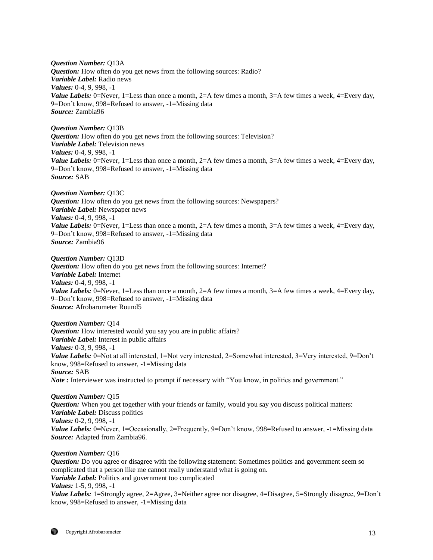*Question Number:* Q13A **Question:** How often do you get news from the following sources: Radio? *Variable Label:* Radio news *Values:* 0-4, 9, 998, -1 *Value Labels:* 0=Never, 1=Less than once a month, 2=A few times a month, 3=A few times a week, 4=Every day, 9=Don't know, 998=Refused to answer, -1=Missing data *Source:* Zambia96

*Question Number:* Q13B *Question:* How often do you get news from the following sources: Television? *Variable Label:* Television news *Values:* 0-4, 9, 998, -1 *Value Labels:* 0=Never, 1=Less than once a month, 2=A few times a month, 3=A few times a week, 4=Every day, 9=Don't know, 998=Refused to answer, -1=Missing data *Source:* SAB

*Question Number:* Q13C *Question:* How often do you get news from the following sources: Newspapers? *Variable Label:* Newspaper news *Values:* 0-4, 9, 998, -1 *Value Labels:* 0=Never, 1=Less than once a month, 2=A few times a month, 3=A few times a week, 4=Every day, 9=Don't know, 998=Refused to answer, -1=Missing data *Source:* Zambia96

*Question Number:* Q13D *Question:* How often do you get news from the following sources: Internet? *Variable Label:* Internet *Values:* 0-4, 9, 998, -1 *Value Labels:* 0=Never, 1=Less than once a month, 2=A few times a month, 3=A few times a week, 4=Every day, 9=Don't know, 998=Refused to answer, -1=Missing data *Source:* Afrobarometer Round5

*Question Number:* Q14 *Question:* How interested would you say you are in public affairs? *Variable Label:* Interest in public affairs *Values:* 0-3, 9, 998, -1 *Value Labels:* 0=Not at all interested, 1=Not very interested, 2=Somewhat interested, 3=Very interested, 9=Don't know, 998=Refused to answer, -1=Missing data *Source:* SAB *Note* : Interviewer was instructed to prompt if necessary with "You know, in politics and government."

*Question Number:* Q15 *Question:* When you get together with your friends or family, would you say you discuss political matters: *Variable Label:* Discuss politics *Values:* 0-2, 9, 998, -1 *Value Labels:* 0=Never, 1=Occasionally, 2=Frequently, 9=Don't know, 998=Refused to answer, -1=Missing data *Source:* Adapted from Zambia96.

#### *Question Number:* Q16

*Question:* Do you agree or disagree with the following statement: Sometimes politics and government seem so complicated that a person like me cannot really understand what is going on. *Variable Label:* Politics and government too complicated *Values:* 1-5, 9, 998, -1 *Value Labels:* 1=Strongly agree, 2=Agree, 3=Neither agree nor disagree, 4=Disagree, 5=Strongly disagree, 9=Don't know, 998=Refused to answer, -1=Missing data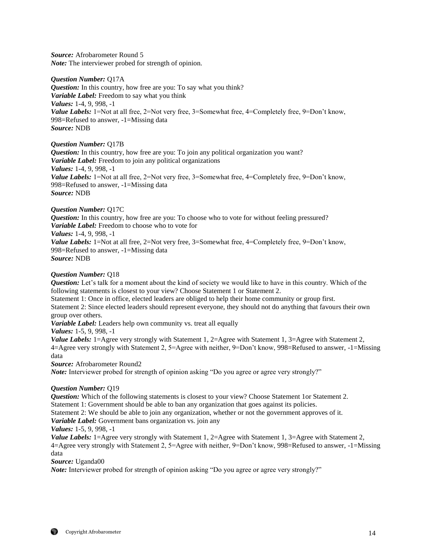*Source:* Afrobarometer Round 5 *Note:* The interviewer probed for strength of opinion.

*Question Number:* Q17A *Question:* In this country, how free are you: To say what you think? *Variable Label:* Freedom to say what you think *Values:* 1-4, 9, 998, -1 *Value Labels:* 1=Not at all free, 2=Not very free, 3=Somewhat free, 4=Completely free, 9=Don't know, 998=Refused to answer, -1=Missing data *Source:* NDB

*Question Number:* Q17B

*Question:* In this country, how free are you: To join any political organization you want? *Variable Label:* Freedom to join any political organizations *Values:* 1-4, 9, 998, -1 *Value Labels:* 1=Not at all free, 2=Not very free, 3=Somewhat free, 4=Completely free, 9=Don't know, 998=Refused to answer, -1=Missing data *Source:* NDB

#### *Question Number:* Q17C

*Question:* In this country, how free are you: To choose who to vote for without feeling pressured? *Variable Label:* Freedom to choose who to vote for *Values:* 1-4, 9, 998, -1 *Value Labels:* 1=Not at all free, 2=Not very free, 3=Somewhat free, 4=Completely free, 9=Don't know, 998=Refused to answer, -1=Missing data *Source:* NDB

#### *Question Number:* Q18

*Question:* Let's talk for a moment about the kind of society we would like to have in this country. Which of the following statements is closest to your view? Choose Statement 1 or Statement 2. Statement 1: Once in office, elected leaders are obliged to help their home community or group first.

Statement 2: Since elected leaders should represent everyone, they should not do anything that favours their own group over others.

*Variable Label:* Leaders help own community vs. treat all equally

*Values:* 1-5, 9, 998, -1

*Value Labels:* 1=Agree very strongly with Statement 1, 2=Agree with Statement 1, 3=Agree with Statement 2, 4=Agree very strongly with Statement 2, 5=Agree with neither, 9=Don't know, 998=Refused to answer, -1=Missing data

*Source:* Afrobarometer Round2

*Note:* Interviewer probed for strength of opinion asking "Do you agree or agree very strongly?"

#### *Question Number:* Q19

**Question:** Which of the following statements is closest to your view? Choose Statement 1or Statement 2. Statement 1: Government should be able to ban any organization that goes against its policies.

Statement 2: We should be able to join any organization, whether or not the government approves of it.

*Variable Label:* Government bans organization vs. join any

*Values:* 1-5, 9, 998, -1

*Value Labels:* 1=Agree very strongly with Statement 1, 2=Agree with Statement 1, 3=Agree with Statement 2, 4=Agree very strongly with Statement 2, 5=Agree with neither, 9=Don't know, 998=Refused to answer, -1=Missing data

*Source:* Uganda00

*Note:* Interviewer probed for strength of opinion asking "Do you agree or agree very strongly?"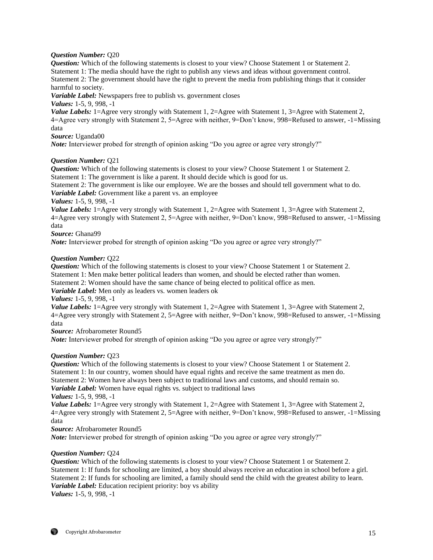## *Question Number:* Q20

*Question:* Which of the following statements is closest to your view? Choose Statement 1 or Statement 2. Statement 1: The media should have the right to publish any views and ideas without government control. Statement 2: The government should have the right to prevent the media from publishing things that it consider harmful to society.

*Variable Label:* Newspapers free to publish vs. government closes

*Values:* 1-5, 9, 998, -1

*Value Labels:* 1=Agree very strongly with Statement 1, 2=Agree with Statement 1, 3=Agree with Statement 2, 4=Agree very strongly with Statement 2, 5=Agree with neither, 9=Don't know, 998=Refused to answer, -1=Missing data

*Source:* Uganda00

*Note:* Interviewer probed for strength of opinion asking "Do you agree or agree very strongly?"

## *Question Number:* Q21

*Question:* Which of the following statements is closest to your view? Choose Statement 1 or Statement 2. Statement 1: The government is like a parent. It should decide which is good for us.

Statement 2: The government is like our employee. We are the bosses and should tell government what to do. *Variable Label:* Government like a parent vs. an employee

*Values:* 1-5, 9, 998, -1

*Value Labels:* 1=Agree very strongly with Statement 1, 2=Agree with Statement 1, 3=Agree with Statement 2, 4=Agree very strongly with Statement 2, 5=Agree with neither, 9=Don't know, 998=Refused to answer, -1=Missing data

*Source:* Ghana99

*Note:* Interviewer probed for strength of opinion asking "Do you agree or agree very strongly?"

## *Question Number:* Q22

*Question:* Which of the following statements is closest to your view? Choose Statement 1 or Statement 2. Statement 1: Men make better political leaders than women, and should be elected rather than women. Statement 2: Women should have the same chance of being elected to political office as men.

*Variable Label:* Men only as leaders vs. women leaders ok

*Values:* 1-5, 9, 998, -1

*Value Labels:* 1=Agree very strongly with Statement 1, 2=Agree with Statement 1, 3=Agree with Statement 2, 4=Agree very strongly with Statement 2, 5=Agree with neither, 9=Don't know, 998=Refused to answer, -1=Missing data

*Source:* Afrobarometer Round5

*Note:* Interviewer probed for strength of opinion asking "Do you agree or agree very strongly?"

## *Question Number:* Q23

*Question:* Which of the following statements is closest to your view? Choose Statement 1 or Statement 2. Statement 1: In our country, women should have equal rights and receive the same treatment as men do. Statement 2: Women have always been subject to traditional laws and customs, and should remain so.

*Variable Label:* Women have equal rights vs. subject to traditional laws

*Values:* 1-5, 9, 998, -1

*Value Labels:* 1=Agree very strongly with Statement 1, 2=Agree with Statement 1, 3=Agree with Statement 2, 4=Agree very strongly with Statement 2, 5=Agree with neither, 9=Don't know, 998=Refused to answer, -1=Missing data

*Source:* Afrobarometer Round5

*Note:* Interviewer probed for strength of opinion asking "Do you agree or agree very strongly?"

## *Question Number:* Q24

**Question:** Which of the following statements is closest to your view? Choose Statement 1 or Statement 2. Statement 1: If funds for schooling are limited, a boy should always receive an education in school before a girl. Statement 2: If funds for schooling are limited, a family should send the child with the greatest ability to learn. *Variable Label:* Education recipient priority: boy vs ability *Values:* 1-5, 9, 998, -1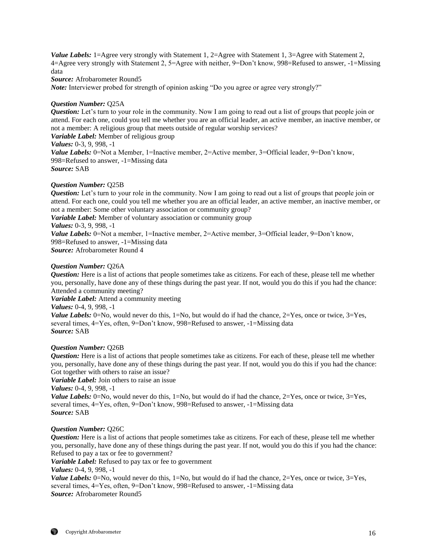*Source:* Afrobarometer Round5

*Note:* Interviewer probed for strength of opinion asking "Do you agree or agree very strongly?"

#### *Question Number:* Q25A

*Question:* Let's turn to your role in the community. Now I am going to read out a list of groups that people join or attend. For each one, could you tell me whether you are an official leader, an active member, an inactive member, or not a member: A religious group that meets outside of regular worship services?

*Variable Label:* Member of religious group *Values:* 0-3, 9, 998, -1

*Value Labels:* 0=Not a Member, 1=Inactive member, 2=Active member, 3=Official leader, 9=Don't know, 998=Refused to answer, -1=Missing data

*Source:* SAB

#### *Question Number:* Q25B

*Question:* Let's turn to your role in the community. Now I am going to read out a list of groups that people join or attend. For each one, could you tell me whether you are an official leader, an active member, an inactive member, or not a member: Some other voluntary association or community group? *Variable Label:* Member of voluntary association or community group

*Values:* 0-3, 9, 998, -1

*Value Labels:* 0=Not a member, 1=Inactive member, 2=Active member, 3=Official leader, 9=Don't know, 998=Refused to answer, -1=Missing data *Source:* Afrobarometer Round 4

*Question Number:* Q26A

*Question:* Here is a list of actions that people sometimes take as citizens. For each of these, please tell me whether you, personally, have done any of these things during the past year. If not, would you do this if you had the chance: Attended a community meeting?

*Variable Label:* Attend a community meeting

*Values:* 0-4, 9, 998, -1

*Value Labels:*  $0 = No$ , would never do this,  $1 = No$ , but would do if had the chance,  $2 = Yes$ , once or twice,  $3 = Yes$ , several times, 4=Yes, often, 9=Don't know, 998=Refused to answer, -1=Missing data *Source:* SAB

#### *Question Number:* Q26B

*Question:* Here is a list of actions that people sometimes take as citizens. For each of these, please tell me whether you, personally, have done any of these things during the past year. If not, would you do this if you had the chance: Got together with others to raise an issue?

*Variable Label:* Join others to raise an issue

*Values:* 0-4, 9, 998, -1

*Value Labels:* 0=No, would never do this, 1=No, but would do if had the chance, 2=Yes, once or twice, 3=Yes, several times, 4=Yes, often, 9=Don't know, 998=Refused to answer, -1=Missing data *Source:* SAB

#### *Question Number:* Q26C

*Question:* Here is a list of actions that people sometimes take as citizens. For each of these, please tell me whether you, personally, have done any of these things during the past year. If not, would you do this if you had the chance: Refused to pay a tax or fee to government?

*Variable Label:* Refused to pay tax or fee to government

*Values:* 0-4, 9, 998, -1

*Value Labels:*  $0 = No$ , would never do this,  $1 = No$ , but would do if had the chance,  $2 = Yes$ , once or twice,  $3 = Yes$ , several times, 4=Yes, often, 9=Don't know, 998=Refused to answer, -1=Missing data *Source:* Afrobarometer Round5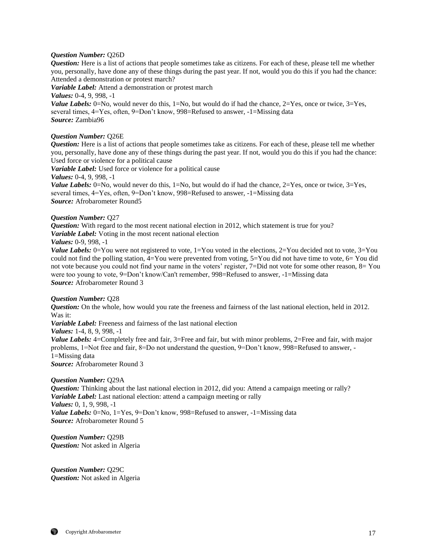#### *Question Number:* Q26D

*Question:* Here is a list of actions that people sometimes take as citizens. For each of these, please tell me whether you, personally, have done any of these things during the past year. If not, would you do this if you had the chance: Attended a demonstration or protest march?

*Variable Label:* Attend a demonstration or protest march

*Values:* 0-4, 9, 998, -1

*Value Labels:* 0=No, would never do this, 1=No, but would do if had the chance, 2=Yes, once or twice, 3=Yes, several times, 4=Yes, often, 9=Don't know, 998=Refused to answer, -1=Missing data *Source:* Zambia96

## *Question Number:* Q26E

*Question:* Here is a list of actions that people sometimes take as citizens. For each of these, please tell me whether you, personally, have done any of these things during the past year. If not, would you do this if you had the chance: Used force or violence for a political cause

*Variable Label:* Used force or violence for a political cause

*Values:* 0-4, 9, 998, -1

*Value Labels:*  $0 = No$ , would never do this,  $1 = No$ , but would do if had the chance,  $2 = Yes$ , once or twice,  $3 = Yes$ , several times, 4=Yes, often, 9=Don't know, 998=Refused to answer, -1=Missing data *Source:* Afrobarometer Round5

## *Question Number:* Q27

*Question:* With regard to the most recent national election in 2012, which statement is true for you? *Variable Label:* Voting in the most recent national election

# *Values:* 0-9, 998, -1

*Value Labels:*  $0 = You$  were not registered to vote,  $1 = You$  voted in the elections,  $2 = You$  decided not to vote,  $3 = You$ could not find the polling station, 4=You were prevented from voting, 5=You did not have time to vote, 6= You did not vote because you could not find your name in the voters' register, 7=Did not vote for some other reason, 8= You were too young to vote, 9=Don't know/Can't remember, 998=Refused to answer, -1=Missing data *Source:* Afrobarometer Round 3

#### *Question Number:* Q28

*Question:* On the whole, how would you rate the freeness and fairness of the last national election, held in 2012. Was it:

*Variable Label:* Freeness and fairness of the last national election

*Values:* 1-4, 8, 9, 998, -1

*Value Labels:* 4=Completely free and fair, 3=Free and fair, but with minor problems, 2=Free and fair, with major problems, 1=Not free and fair, 8=Do not understand the question, 9=Don't know, 998=Refused to answer, - 1=Missing data

*Source:* Afrobarometer Round 3

## *Question Number:* Q29A

*Question:* Thinking about the last national election in 2012, did you: Attend a campaign meeting or rally? *Variable Label:* Last national election: attend a campaign meeting or rally *Values:* 0, 1, 9, 998, -1 *Value Labels:* 0=No, 1=Yes, 9=Don't know, 998=Refused to answer, -1=Missing data *Source:* Afrobarometer Round 5

*Question Number:* Q29B *Question:* Not asked in Algeria

*Question Number:* Q29C *Question:* Not asked in Algeria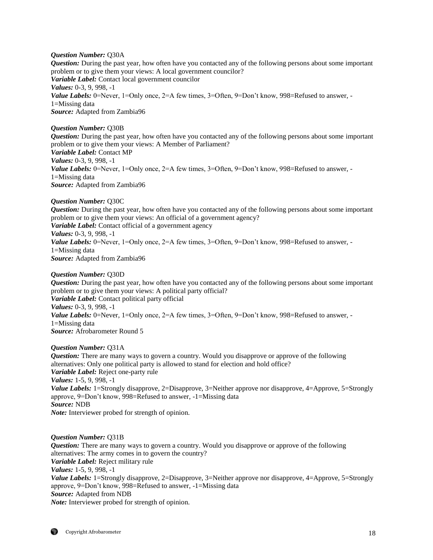## *Question Number:* Q30A

*Question:* During the past year, how often have you contacted any of the following persons about some important problem or to give them your views: A local government councilor? *Variable Label:* Contact local government councilor *Values:* 0-3, 9, 998, -1 *Value Labels:* 0=Never, 1=Only once, 2=A few times, 3=Often, 9=Don't know, 998=Refused to answer, -1=Missing data *Source:* Adapted from Zambia96

## *Question Number:* Q30B

*Question:* During the past year, how often have you contacted any of the following persons about some important problem or to give them your views: A Member of Parliament? *Variable Label:* Contact MP *Values:* 0-3, 9, 998, -1 *Value Labels:* 0=Never, 1=Only once, 2=A few times, 3=Often, 9=Don't know, 998=Refused to answer, -1=Missing data *Source:* Adapted from Zambia96

## *Question Number:* Q30C

*Question:* During the past year, how often have you contacted any of the following persons about some important problem or to give them your views: An official of a government agency? *Variable Label:* Contact official of a government agency *Values:* 0-3, 9, 998, -1 *Value Labels:* 0=Never, 1=Only once, 2=A few times, 3=Often, 9=Don't know, 998=Refused to answer, -1=Missing data *Source:* Adapted from Zambia96

## *Question Number:* Q30D

*Question:* During the past year, how often have you contacted any of the following persons about some important problem or to give them your views: A political party official? *Variable Label:* Contact political party official *Values:* 0-3, 9, 998, -1 *Value Labels:* 0=Never, 1=Only once, 2=A few times, 3=Often, 9=Don't know, 998=Refused to answer, -1=Missing data *Source:* Afrobarometer Round 5

#### *Question Number:* Q31A

*Question:* There are many ways to govern a country. Would you disapprove or approve of the following alternatives: Only one political party is allowed to stand for election and hold office? *Variable Label:* Reject one-party rule *Values:* 1-5, 9, 998, -1 *Value Labels:* 1=Strongly disapprove, 2=Disapprove, 3=Neither approve nor disapprove, 4=Approve, 5=Strongly approve, 9=Don't know, 998=Refused to answer, -1=Missing data *Source:* NDB *Note:* Interviewer probed for strength of opinion.

#### *Question Number:* Q31B

*Question:* There are many ways to govern a country. Would you disapprove or approve of the following alternatives: The army comes in to govern the country? *Variable Label:* Reject military rule *Values:* 1-5, 9, 998, -1 *Value Labels:* 1=Strongly disapprove, 2=Disapprove, 3=Neither approve nor disapprove, 4=Approve, 5=Strongly approve, 9=Don't know, 998=Refused to answer, -1=Missing data *Source:* Adapted from NDB *Note:* Interviewer probed for strength of opinion.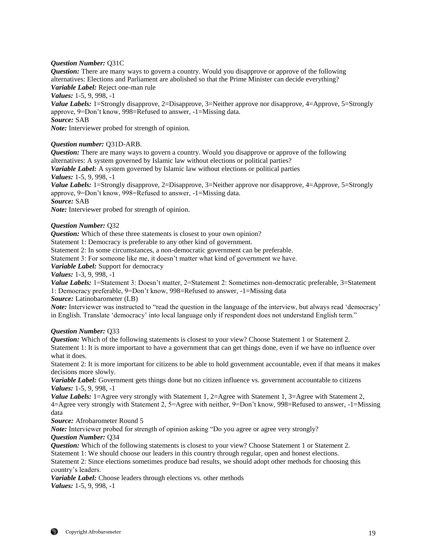## *Question Number:* Q31C

*Question:* There are many ways to govern a country. Would you disapprove or approve of the following alternatives: Elections and Parliament are abolished so that the Prime Minister can decide everything? *Variable Label:* Reject one-man rule

*Values:* 1-5, 9, 998, -1

*Value Labels:* 1=Strongly disapprove, 2=Disapprove, 3=Neither approve nor disapprove, 4=Approve, 5=Strongly approve, 9=Don't know, 998=Refused to answer, -1=Missing data.

*Source:* SAB

*Note:* Interviewer probed for strength of opinion.

## *Question number:* Q31D-ARB.

*Question:* There are many ways to govern a country. Would you disapprove or approve of the following alternatives: A system governed by Islamic law without elections or political parties?

*Variable Label:* A system governed by Islamic law without elections or political parties

*Values:* 1-5, 9, 998, -1

*Value Labels:* 1=Strongly disapprove, 2=Disapprove, 3=Neither approve nor disapprove, 4=Approve, 5=Strongly approve, 9=Don't know, 998=Refused to answer, -1=Missing data.

*Source:* SAB

*Note:* Interviewer probed for strength of opinion.

## *Question Number:* Q32

*Question:* Which of these three statements is closest to your own opinion?

Statement 1: Democracy is preferable to any other kind of government.

Statement 2: In some circumstances, a non-democratic government can be preferable.

Statement 3: For someone like me, it doesn't matter what kind of government we have.

*Variable Label:* Support for democracy

*Values:* 1-3, 9, 998, -1

*Value Labels:* 1=Statement 3: Doesn't matter, 2=Statement 2: Sometimes non-democratic preferable, 3=Statement 1: Democracy preferable, 9=Don't know, 998=Refused to answer, -1=Missing data

*Source:* Latinobarometer (LB)

*Note:* Interviewer was instructed to "read the question in the language of the interview, but always read 'democracy' in English. Translate 'democracy' into local language only if respondent does not understand English term."

## *Question Number:* Q33

*Question:* Which of the following statements is closest to your view? Choose Statement 1 or Statement 2. Statement 1: It is more important to have a government that can get things done, even if we have no influence over what it does.

Statement 2: It is more important for citizens to be able to hold government accountable, even if that means it makes decisions more slowly.

*Variable Label:* Government gets things done but no citizen influence vs. government accountable to citizens *Values:* 1-5, 9, 998, -1

*Value Labels:* 1=Agree very strongly with Statement 1, 2=Agree with Statement 1, 3=Agree with Statement 2, 4=Agree very strongly with Statement 2, 5=Agree with neither, 9=Don't know, 998=Refused to answer, -1=Missing data

*Source:* Afrobarometer Round 5

*Note:* Interviewer probed for strength of opinion asking "Do you agree or agree very strongly? *Question Number:* Q34

*Question:* Which of the following statements is closest to your view? Choose Statement 1 or Statement 2. Statement 1: We should choose our leaders in this country through regular, open and honest elections.

Statement 2: Since elections sometimes produce bad results, we should adopt other methods for choosing this

country's leaders.

*Variable Label:* Choose leaders through elections vs. other methods *Values:* 1-5, 9, 998, -1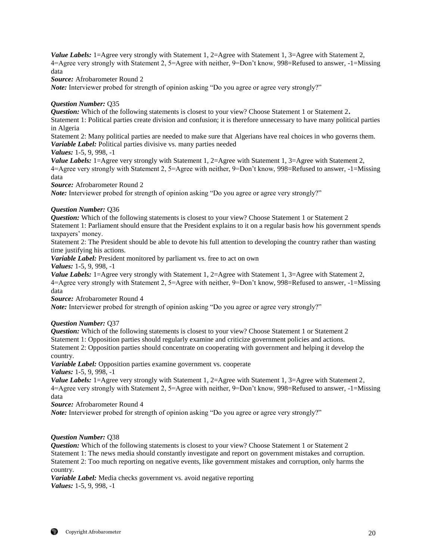*Source:* Afrobarometer Round 2

*Note:* Interviewer probed for strength of opinion asking "Do you agree or agree very strongly?"

## *Question Number:* Q35

*Question:* Which of the following statements is closest to your view? Choose Statement 1 or Statement 2. Statement 1: Political parties create division and confusion; it is therefore unnecessary to have many political parties in Algeria

Statement 2: Many political parties are needed to make sure that Algerians have real choices in who governs them. *Variable Label:* Political parties divisive vs. many parties needed

#### *Values:* 1-5, 9, 998, -1

*Value Labels:* 1=Agree very strongly with Statement 1, 2=Agree with Statement 1, 3=Agree with Statement 2, 4=Agree very strongly with Statement 2, 5=Agree with neither, 9=Don't know, 998=Refused to answer, -1=Missing data

*Source:* Afrobarometer Round 2

*Note:* Interviewer probed for strength of opinion asking "Do you agree or agree very strongly?"

#### *Question Number:* Q36

*Question:* Which of the following statements is closest to your view? Choose Statement 1 or Statement 2 Statement 1: Parliament should ensure that the President explains to it on a regular basis how his government spends taxpayers' money.

Statement 2: The President should be able to devote his full attention to developing the country rather than wasting time justifying his actions.

*Variable Label:* President monitored by parliament vs. free to act on own

*Values:* 1-5, 9, 998, -1

*Value Labels:* 1=Agree very strongly with Statement 1, 2=Agree with Statement 1, 3=Agree with Statement 2, 4=Agree very strongly with Statement 2, 5=Agree with neither, 9=Don't know, 998=Refused to answer, -1=Missing data

*Source:* Afrobarometer Round 4

*Note:* Interviewer probed for strength of opinion asking "Do you agree or agree very strongly?"

#### *Question Number:* Q37

*Question:* Which of the following statements is closest to your view? Choose Statement 1 or Statement 2 Statement 1: Opposition parties should regularly examine and criticize government policies and actions. Statement 2: Opposition parties should concentrate on cooperating with government and helping it develop the country.

*Variable Label:* Opposition parties examine government vs. cooperate

*Values:* 1-5, 9, 998, -1

*Value Labels:* 1=Agree very strongly with Statement 1, 2=Agree with Statement 1, 3=Agree with Statement 2, 4=Agree very strongly with Statement 2, 5=Agree with neither, 9=Don't know, 998=Refused to answer, -1=Missing data

*Source:* Afrobarometer Round 4

*Note:* Interviewer probed for strength of opinion asking "Do you agree or agree very strongly?"

#### *Question Number:* Q38

*Question:* Which of the following statements is closest to your view? Choose Statement 1 or Statement 2 Statement 1: The news media should constantly investigate and report on government mistakes and corruption. Statement 2: Too much reporting on negative events, like government mistakes and corruption, only harms the country.

*Variable Label:* Media checks government vs. avoid negative reporting *Values:* 1-5, 9, 998, -1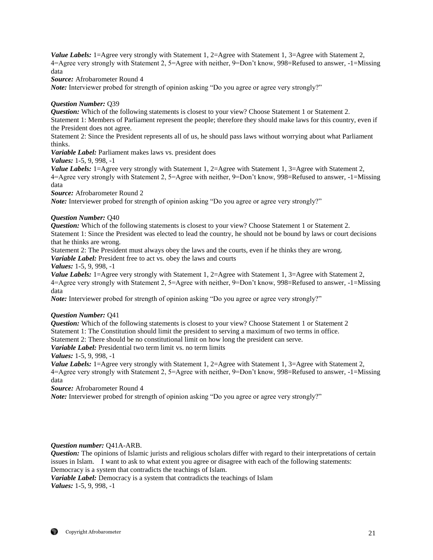*Source:* Afrobarometer Round 4

*Note:* Interviewer probed for strength of opinion asking "Do you agree or agree very strongly?"

## *Question Number:* Q39

*Question:* Which of the following statements is closest to your view? Choose Statement 1 or Statement 2. Statement 1: Members of Parliament represent the people; therefore they should make laws for this country, even if the President does not agree.

Statement 2: Since the President represents all of us, he should pass laws without worrying about what Parliament thinks.

*Variable Label:* Parliament makes laws vs. president does

*Values:* 1-5, 9, 998, -1

*Value Labels:* 1=Agree very strongly with Statement 1, 2=Agree with Statement 1, 3=Agree with Statement 2, 4=Agree very strongly with Statement 2, 5=Agree with neither, 9=Don't know, 998=Refused to answer, -1=Missing data

*Source:* Afrobarometer Round 2

*Note:* Interviewer probed for strength of opinion asking "Do you agree or agree very strongly?"

## *Question Number:* Q40

*Question:* Which of the following statements is closest to your view? Choose Statement 1 or Statement 2. Statement 1: Since the President was elected to lead the country, he should not be bound by laws or court decisions that he thinks are wrong.

Statement 2: The President must always obey the laws and the courts, even if he thinks they are wrong. *Variable Label:* President free to act vs. obey the laws and courts

## *Values:* 1-5, 9, 998, -1

*Value Labels:* 1=Agree very strongly with Statement 1, 2=Agree with Statement 1, 3=Agree with Statement 2, 4=Agree very strongly with Statement 2, 5=Agree with neither, 9=Don't know, 998=Refused to answer, -1=Missing data

*Note:* Interviewer probed for strength of opinion asking "Do you agree or agree very strongly?"

## *Question Number:* Q41

*Question:* Which of the following statements is closest to your view? Choose Statement 1 or Statement 2 Statement 1: The Constitution should limit the president to serving a maximum of two terms in office. Statement 2: There should be no constitutional limit on how long the president can serve.

*Variable Label:* Presidential two term limit vs. no term limits

*Values:* 1-5, 9, 998, -1

*Value Labels:* 1=Agree very strongly with Statement 1, 2=Agree with Statement 1, 3=Agree with Statement 2, 4=Agree very strongly with Statement 2, 5=Agree with neither, 9=Don't know, 998=Refused to answer, -1=Missing data

*Source:* Afrobarometer Round 4

*Note:* Interviewer probed for strength of opinion asking "Do you agree or agree very strongly?"

## *Question number:* Q41A-ARB.

*Question:* The opinions of Islamic jurists and religious scholars differ with regard to their interpretations of certain issues in Islam. I want to ask to what extent you agree or disagree with each of the following statements: Democracy is a system that contradicts the teachings of Islam.

*Variable Label:* Democracy is a system that contradicts the teachings of Islam *Values:* 1-5, 9, 998, -1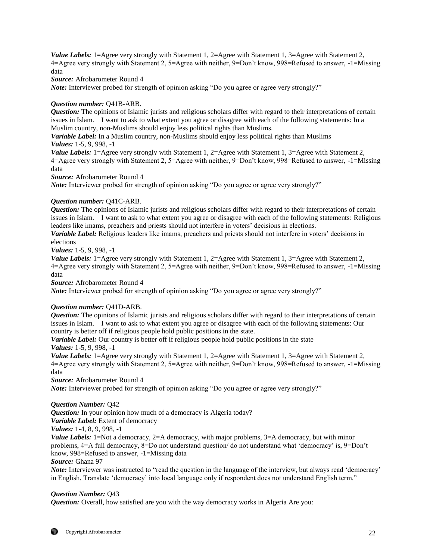*Source:* Afrobarometer Round 4

*Note:* Interviewer probed for strength of opinion asking "Do you agree or agree very strongly?"

## *Question number:* Q41B-ARB.

*Question:* The opinions of Islamic jurists and religious scholars differ with regard to their interpretations of certain issues in Islam. I want to ask to what extent you agree or disagree with each of the following statements: In a Muslim country, non-Muslims should enjoy less political rights than Muslims.

*Variable Label:* In a Muslim country, non-Muslims should enjoy less political rights than Muslims *Values:* 1-5, 9, 998, -1

*Value Labels:* 1=Agree very strongly with Statement 1, 2=Agree with Statement 1, 3=Agree with Statement 2, 4=Agree very strongly with Statement 2, 5=Agree with neither, 9=Don't know, 998=Refused to answer, -1=Missing data

*Source:* Afrobarometer Round 4

*Note:* Interviewer probed for strength of opinion asking "Do you agree or agree very strongly?"

## *Question number:* Q41C-ARB.

*Question:* The opinions of Islamic jurists and religious scholars differ with regard to their interpretations of certain issues in Islam. I want to ask to what extent you agree or disagree with each of the following statements: Religious leaders like imams, preachers and priests should not interfere in voters' decisions in elections.

*Variable Label:* Religious leaders like imams, preachers and priests should not interfere in voters' decisions in elections

*Values:* 1-5, 9, 998, -1

*Value Labels:* 1=Agree very strongly with Statement 1, 2=Agree with Statement 1, 3=Agree with Statement 2, 4=Agree very strongly with Statement 2, 5=Agree with neither, 9=Don't know, 998=Refused to answer, -1=Missing data

*Source:* Afrobarometer Round 4

*Note:* Interviewer probed for strength of opinion asking "Do you agree or agree very strongly?"

## *Question number:* Q41D-ARB.

*Question:* The opinions of Islamic jurists and religious scholars differ with regard to their interpretations of certain issues in Islam. I want to ask to what extent you agree or disagree with each of the following statements: Our country is better off if religious people hold public positions in the state.

*Variable Label:* Our country is better off if religious people hold public positions in the state *Values:* 1-5, 9, 998, -1

*Value Labels:* 1=Agree very strongly with Statement 1, 2=Agree with Statement 1, 3=Agree with Statement 2, 4=Agree very strongly with Statement 2, 5=Agree with neither, 9=Don't know, 998=Refused to answer, -1=Missing data

*Source:* Afrobarometer Round 4

*Note:* Interviewer probed for strength of opinion asking "Do you agree or agree very strongly?"

#### *Question Number:* Q42

*Question:* In your opinion how much of a democracy is Algeria today?

*Variable Label:* Extent of democracy

*Values:* 1-4, 8, 9, 998, -1

*Value Labels:* 1=Not a democracy, 2=A democracy, with major problems, 3=A democracy, but with minor problems, 4=A full democracy, 8=Do not understand question/ do not understand what 'democracy' is, 9=Don't know, 998=Refused to answer, -1=Missing data

*Source:* Ghana 97

*Note:* Interviewer was instructed to "read the question in the language of the interview, but always read 'democracy' in English. Translate 'democracy' into local language only if respondent does not understand English term."

## *Question Number:* Q43

*Question:* Overall, how satisfied are you with the way democracy works in Algeria Are you: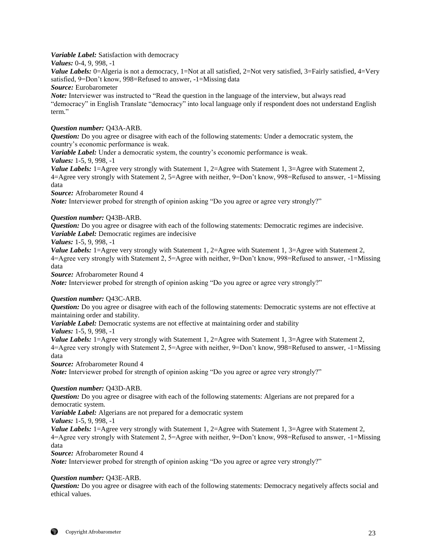*Variable Label:* Satisfaction with democracy

*Values:* 0-4, 9, 998, -1

*Value Labels:* 0=Algeria is not a democracy, 1=Not at all satisfied, 2=Not very satisfied, 3=Fairly satisfied, 4=Very satisfied, 9=Don't know, 998=Refused to answer, -1=Missing data *Source:* Eurobarometer

*Note:* Interviewer was instructed to "Read the question in the language of the interview, but always read "democracy" in English Translate "democracy" into local language only if respondent does not understand English term."

## *Question number:* Q43A-ARB.

*Question:* Do you agree or disagree with each of the following statements: Under a democratic system, the country's economic performance is weak.

*Variable Label:* Under a democratic system, the country's economic performance is weak.

*Values:* 1-5, 9, 998, -1

*Value Labels:* 1=Agree very strongly with Statement 1, 2=Agree with Statement 1, 3=Agree with Statement 2, 4=Agree very strongly with Statement 2, 5=Agree with neither, 9=Don't know, 998=Refused to answer, -1=Missing data

*Source:* Afrobarometer Round 4

*Note:* Interviewer probed for strength of opinion asking "Do you agree or agree very strongly?"

## *Question number:* Q43B-ARB.

*Question:* Do you agree or disagree with each of the following statements: Democratic regimes are indecisive. *Variable Label:* Democratic regimes are indecisive

*Values:* 1-5, 9, 998, -1

*Value Labels:* 1=Agree very strongly with Statement 1, 2=Agree with Statement 1, 3=Agree with Statement 2, 4=Agree very strongly with Statement 2, 5=Agree with neither, 9=Don't know, 998=Refused to answer, -1=Missing data

*Source:* Afrobarometer Round 4

*Note:* Interviewer probed for strength of opinion asking "Do you agree or agree very strongly?"

## *Question number:* Q43C-ARB.

*Question:* Do you agree or disagree with each of the following statements: Democratic systems are not effective at maintaining order and stability.

*Variable Label:* Democratic systems are not effective at maintaining order and stability

*Values:* 1-5, 9, 998, -1

*Value Labels:* 1=Agree very strongly with Statement 1, 2=Agree with Statement 1, 3=Agree with Statement 2, 4=Agree very strongly with Statement 2, 5=Agree with neither, 9=Don't know, 998=Refused to answer, -1=Missing data

*Source:* Afrobarometer Round 4

*Note:* Interviewer probed for strength of opinion asking "Do you agree or agree very strongly?"

## *Question number:* Q43D-ARB.

*Question:* Do you agree or disagree with each of the following statements: Algerians are not prepared for a democratic system.

*Variable Label:* Algerians are not prepared for a democratic system

*Values:* 1-5, 9, 998, -1

*Value Labels:* 1=Agree very strongly with Statement 1, 2=Agree with Statement 1, 3=Agree with Statement 2, 4=Agree very strongly with Statement 2, 5=Agree with neither, 9=Don't know, 998=Refused to answer, -1=Missing data

*Source:* Afrobarometer Round 4

*Note:* Interviewer probed for strength of opinion asking "Do you agree or agree very strongly?"

## *Question number:* Q43E-ARB.

*Question:* Do you agree or disagree with each of the following statements: Democracy negatively affects social and ethical values.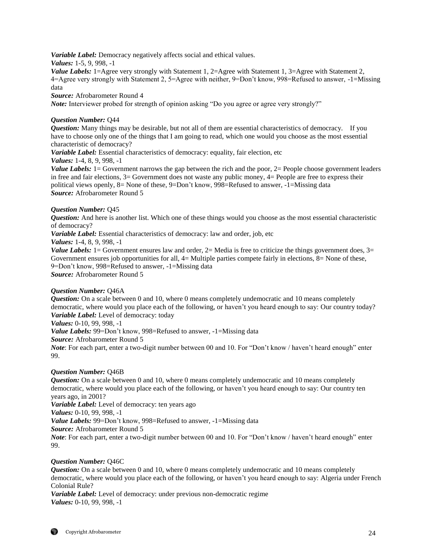*Variable Label:* Democracy negatively affects social and ethical values.

*Values:* 1-5, 9, 998, -1

*Value Labels:* 1=Agree very strongly with Statement 1, 2=Agree with Statement 1, 3=Agree with Statement 2, 4=Agree very strongly with Statement 2, 5=Agree with neither, 9=Don't know, 998=Refused to answer, -1=Missing data

*Source:* Afrobarometer Round 4

*Note:* Interviewer probed for strength of opinion asking "Do you agree or agree very strongly?"

# *Question Number:* Q44

*Question:* Many things may be desirable, but not all of them are essential characteristics of democracy. If you have to choose only one of the things that I am going to read, which one would you choose as the most essential characteristic of democracy?

*Variable Label:* Essential characteristics of democracy: equality, fair election, etc

*Values:* 1-4, 8, 9, 998, -1

*Value Labels:* 1 = Government narrows the gap between the rich and the poor, 2 = People choose government leaders in free and fair elections, 3= Government does not waste any public money, 4= People are free to express their political views openly, 8= None of these, 9=Don't know, 998=Refused to answer, -1=Missing data *Source:* Afrobarometer Round 5

# *Question Number:* Q45

*Question:* And here is another list. Which one of these things would you choose as the most essential characteristic of democracy?

*Variable Label:* Essential characteristics of democracy: law and order, job, etc

*Values:* 1-4, 8, 9, 998, -1

*Value Labels:* 1 = Government ensures law and order, 2 = Media is free to criticize the things government does,  $3 =$ Government ensures job opportunities for all,  $4=$  Multiple parties compete fairly in elections,  $8=$  None of these, 9=Don't know, 998=Refused to answer, -1=Missing data *Source:* Afrobarometer Round 5

## *Question Number:* Q46A

*Question:* On a scale between 0 and 10, where 0 means completely undemocratic and 10 means completely democratic, where would you place each of the following, or haven't you heard enough to say: Our country today? *Variable Label:* Level of democracy: today

*Values:* 0-10, 99, 998, -1

*Value Labels:* 99=Don't know, 998=Refused to answer, -1=Missing data

*Source:* Afrobarometer Round 5

*Note*: For each part, enter a two-digit number between 00 and 10. For "Don't know / haven't heard enough" enter 99.

## *Question Number:* Q46B

*Question:* On a scale between 0 and 10, where 0 means completely undemocratic and 10 means completely democratic, where would you place each of the following, or haven't you heard enough to say: Our country ten years ago, in 2001?

*Variable Label:* Level of democracy: ten years ago

*Values:* 0-10, 99, 998, -1

*Value Labels:* 99=Don't know, 998=Refused to answer, -1=Missing data

*Source:* Afrobarometer Round 5

*Note*: For each part, enter a two-digit number between 00 and 10. For "Don't know / haven't heard enough" enter 99.

# *Question Number:* Q46C

*Question:* On a scale between 0 and 10, where 0 means completely undemocratic and 10 means completely democratic, where would you place each of the following, or haven't you heard enough to say: Algeria under French Colonial Rule?

*Variable Label:* Level of democracy: under previous non-democratic regime *Values:* 0-10, 99, 998, -1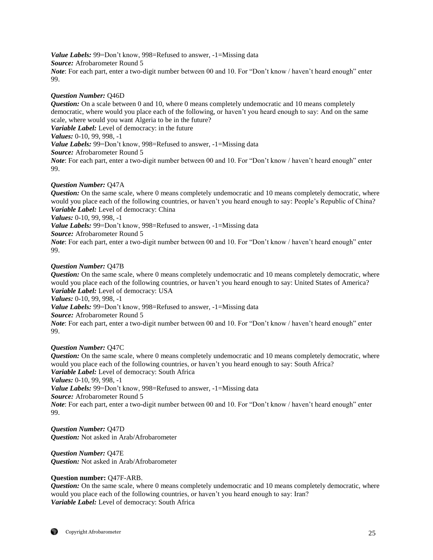*Value Labels:* 99=Don't know, 998=Refused to answer, -1=Missing data *Source:* Afrobarometer Round 5 *Note*: For each part, enter a two-digit number between 00 and 10. For "Don't know / haven't heard enough" enter 99.

## *Question Number:* Q46D

*Question:* On a scale between 0 and 10, where 0 means completely undemocratic and 10 means completely democratic, where would you place each of the following, or haven't you heard enough to say: And on the same scale, where would you want Algeria to be in the future? *Variable Label:* Level of democracy: in the future *Values:* 0-10, 99, 998, -1 *Value Labels:* 99=Don't know, 998=Refused to answer, -1=Missing data *Source:* Afrobarometer Round 5 *Note*: For each part, enter a two-digit number between 00 and 10. For "Don't know / haven't heard enough" enter 99.

## *Question Number:* Q47A

*Question:* On the same scale, where 0 means completely undemocratic and 10 means completely democratic, where would you place each of the following countries, or haven't you heard enough to say: People's Republic of China? *Variable Label:* Level of democracy: China

*Values:* 0-10, 99, 998, -1

*Value Labels:* 99=Don't know, 998=Refused to answer, -1=Missing data

*Source:* Afrobarometer Round 5

*Note*: For each part, enter a two-digit number between 00 and 10. For "Don't know / haven't heard enough" enter 99.

## *Question Number:* Q47B

*Question:* On the same scale, where 0 means completely undemocratic and 10 means completely democratic, where would you place each of the following countries, or haven't you heard enough to say: United States of America? *Variable Label:* Level of democracy: USA *Values:* 0-10, 99, 998, -1

*Value Labels:* 99=Don't know, 998=Refused to answer, -1=Missing data

*Source:* Afrobarometer Round 5

*Note*: For each part, enter a two-digit number between 00 and 10. For "Don't know / haven't heard enough" enter 99.

#### *Question Number:* Q47C

*Question:* On the same scale, where 0 means completely undemocratic and 10 means completely democratic, where would you place each of the following countries, or haven't you heard enough to say: South Africa? *Variable Label:* Level of democracy: South Africa *Values:* 0-10, 99, 998, -1 *Value Labels:* 99=Don't know, 998=Refused to answer, -1=Missing data *Source:* Afrobarometer Round 5 *Note*: For each part, enter a two-digit number between 00 and 10. For "Don't know / haven't heard enough" enter 99.

*Question Number:* Q47D *Question:* Not asked in Arab/Afrobarometer

*Question Number:* Q47E *Question:* Not asked in Arab/Afrobarometer

## **Question number:** Q47F-ARB.

*Question:* On the same scale, where 0 means completely undemocratic and 10 means completely democratic, where would you place each of the following countries, or haven't you heard enough to say: Iran? *Variable Label:* Level of democracy: South Africa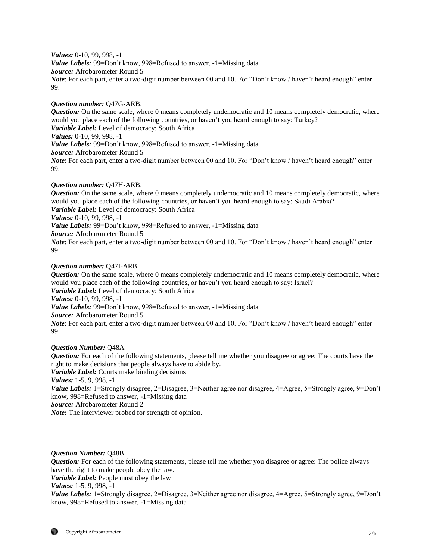*Values:* 0-10, 99, 998, -1 *Value Labels:* 99=Don't know, 998=Refused to answer, -1=Missing data *Source:* Afrobarometer Round 5 *Note*: For each part, enter a two-digit number between 00 and 10. For "Don't know / haven't heard enough" enter 99.

## *Question number:* Q47G-ARB.

*Question:* On the same scale, where 0 means completely undemocratic and 10 means completely democratic, where would you place each of the following countries, or haven't you heard enough to say: Turkey? *Variable Label:* Level of democracy: South Africa *Values:* 0-10, 99, 998, -1 *Value Labels:* 99=Don't know, 998=Refused to answer, -1=Missing data *Source:* Afrobarometer Round 5 *Note*: For each part, enter a two-digit number between 00 and 10. For "Don't know / haven't heard enough" enter 99.

## *Question number:* Q47H-ARB.

*Question:* On the same scale, where 0 means completely undemocratic and 10 means completely democratic, where would you place each of the following countries, or haven't you heard enough to say: Saudi Arabia? *Variable Label:* Level of democracy: South Africa *Values:* 0-10, 99, 998, -1 *Value Labels:* 99=Don't know, 998=Refused to answer, -1=Missing data *Source:* Afrobarometer Round 5 *Note*: For each part, enter a two-digit number between 00 and 10. For "Don't know / haven't heard enough" enter 99.

## *Question number:* Q47I-ARB.

*Question:* On the same scale, where 0 means completely undemocratic and 10 means completely democratic, where would you place each of the following countries, or haven't you heard enough to say: Israel? *Variable Label:* Level of democracy: South Africa *Values:* 0-10, 99, 998, -1 *Value Labels:* 99=Don't know, 998=Refused to answer, -1=Missing data *Source:* Afrobarometer Round 5 *Note*: For each part, enter a two-digit number between 00 and 10. For "Don't know / haven't heard enough" enter 99.

## *Question Number:* Q48A

*Question:* For each of the following statements, please tell me whether you disagree or agree: The courts have the right to make decisions that people always have to abide by.

*Variable Label:* Courts make binding decisions

*Values:* 1-5, 9, 998, -1

*Value Labels:* 1=Strongly disagree, 2=Disagree, 3=Neither agree nor disagree, 4=Agree, 5=Strongly agree, 9=Don't know, 998=Refused to answer, -1=Missing data

*Source:* Afrobarometer Round 2

*Note:* The interviewer probed for strength of opinion.

#### *Question Number:* Q48B

*Question:* For each of the following statements, please tell me whether you disagree or agree: The police always have the right to make people obey the law.

*Variable Label:* People must obey the law

*Values:* 1-5, 9, 998, -1

*Value Labels:* 1=Strongly disagree, 2=Disagree, 3=Neither agree nor disagree, 4=Agree, 5=Strongly agree, 9=Don't know, 998=Refused to answer, -1=Missing data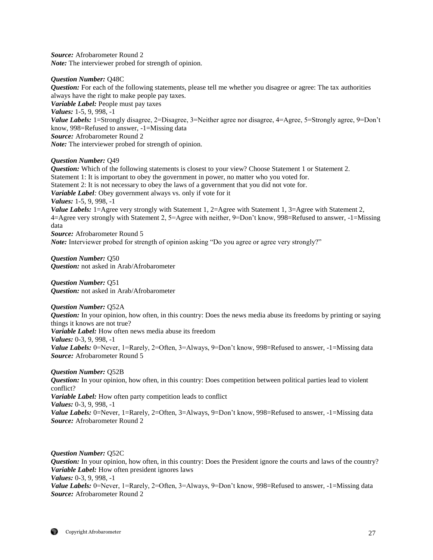*Source:* Afrobarometer Round 2 *Note:* The interviewer probed for strength of opinion.

## *Question Number:* Q48C

*Question:* For each of the following statements, please tell me whether you disagree or agree: The tax authorities always have the right to make people pay taxes. *Variable Label:* People must pay taxes *Values:* 1-5, 9, 998, -1 *Value Labels:* 1=Strongly disagree, 2=Disagree, 3=Neither agree nor disagree, 4=Agree, 5=Strongly agree, 9=Don't know, 998=Refused to answer, -1=Missing data *Source:* Afrobarometer Round 2 *Note:* The interviewer probed for strength of opinion.

## *Question Number:* Q49

*Question:* Which of the following statements is closest to your view? Choose Statement 1 or Statement 2. Statement 1: It is important to obey the government in power, no matter who you voted for. Statement 2: It is not necessary to obey the laws of a government that you did not vote for. *Variable Label:* Obey government always vs. only if vote for it *Values:* 1-5, 9, 998, -1 *Value Labels:* 1=Agree very strongly with Statement 1, 2=Agree with Statement 1, 3=Agree with Statement 2, 4=Agree very strongly with Statement 2, 5=Agree with neither, 9=Don't know, 998=Refused to answer, -1=Missing data *Source:* Afrobarometer Round 5 *Note:* Interviewer probed for strength of opinion asking "Do you agree or agree very strongly?"

*Question Number:* Q50 *Question:* not asked in Arab/Afrobarometer

*Question Number:* Q51 *Question:* not asked in Arab/Afrobarometer

*Question Number:* Q52A *Question:* In your opinion, how often, in this country: Does the news media abuse its freedoms by printing or saying things it knows are not true? *Variable Label:* How often news media abuse its freedom *Values:* 0-3, 9, 998, -1 *Value Labels:* 0=Never, 1=Rarely, 2=Often, 3=Always, 9=Don't know, 998=Refused to answer, -1=Missing data *Source:* Afrobarometer Round 5

*Question Number:* Q52B

*Question:* In your opinion, how often, in this country: Does competition between political parties lead to violent conflict? *Variable Label:* How often party competition leads to conflict *Values:* 0-3, 9, 998, -1 *Value Labels:* 0=Never, 1=Rarely, 2=Often, 3=Always, 9=Don't know, 998=Refused to answer, -1=Missing data *Source:* Afrobarometer Round 2

*Question Number:* Q52C

*Question:* In your opinion, how often, in this country: Does the President ignore the courts and laws of the country? *Variable Label:* How often president ignores laws *Values:* 0-3, 9, 998, -1 *Value Labels:* 0=Never, 1=Rarely, 2=Often, 3=Always, 9=Don't know, 998=Refused to answer, -1=Missing data *Source:* Afrobarometer Round 2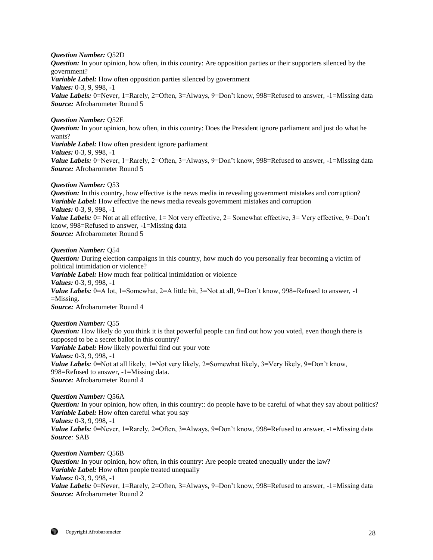#### *Question Number:* Q52D

*Question:* In your opinion, how often, in this country: Are opposition parties or their supporters silenced by the government? *Variable Label:* How often opposition parties silenced by government *Values:* 0-3, 9, 998, -1 *Value Labels:* 0=Never, 1=Rarely, 2=Often, 3=Always, 9=Don't know, 998=Refused to answer, -1=Missing data *Source:* Afrobarometer Round 5

# *Question Number:* Q52E

*Question:* In your opinion, how often, in this country: Does the President ignore parliament and just do what he wants? *Variable Label:* How often president ignore parliament *Values:* 0-3, 9, 998, -1 *Value Labels:* 0=Never, 1=Rarely, 2=Often, 3=Always, 9=Don't know, 998=Refused to answer, -1=Missing data *Source:* Afrobarometer Round 5

## *Question Number:* Q53

*Question:* In this country, how effective is the news media in revealing government mistakes and corruption? *Variable Label:* How effective the news media reveals government mistakes and corruption *Values:* 0-3, 9, 998, -1 *Value Labels:* 0= Not at all effective, 1= Not very effective, 2= Somewhat effective, 3= Very effective, 9=Don't know, 998=Refused to answer, -1=Missing data *Source:* Afrobarometer Round 5

### *Question Number:* Q54

*Question:* During election campaigns in this country, how much do you personally fear becoming a victim of political intimidation or violence? *Variable Label:* How much fear political intimidation or violence *Values:* 0-3, 9, 998, -1 *Value Labels:* 0=A lot, 1=Somewhat, 2=A little bit, 3=Not at all, 9=Don't know, 998=Refused to answer, -1  $=$ Missing. *Source:* Afrobarometer Round 4

#### *Question Number:* Q55

*Question:* How likely do you think it is that powerful people can find out how you voted, even though there is supposed to be a secret ballot in this country? *Variable Label:* How likely powerful find out your vote *Values:* 0-3, 9, 998, -1 *Value Labels:* 0=Not at all likely, 1=Not very likely, 2=Somewhat likely, 3=Very likely, 9=Don't know, 998=Refused to answer, -1=Missing data. *Source:* Afrobarometer Round 4

## *Question Number:* Q56A

*Question:* In your opinion, how often, in this country:: do people have to be careful of what they say about politics? *Variable Label:* How often careful what you say *Values:* 0-3, 9, 998, -1 *Value Labels:* 0=Never, 1=Rarely, 2=Often, 3=Always, 9=Don't know, 998=Refused to answer, -1=Missing data *Source:* SAB

#### *Question Number:* Q56B

*Question:* In your opinion, how often, in this country: Are people treated unequally under the law? *Variable Label:* How often people treated unequally *Values:* 0-3, 9, 998, -1 *Value Labels:* 0=Never, 1=Rarely, 2=Often, 3=Always, 9=Don't know, 998=Refused to answer, -1=Missing data *Source:* Afrobarometer Round 2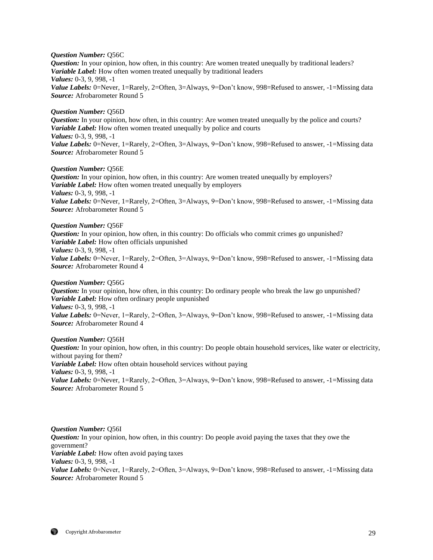*Question Number:* Q56C

*Question:* In your opinion, how often, in this country: Are women treated unequally by traditional leaders? *Variable Label:* How often women treated unequally by traditional leaders *Values:* 0-3, 9, 998, -1 *Value Labels:* 0=Never, 1=Rarely, 2=Often, 3=Always, 9=Don't know, 998=Refused to answer, -1=Missing data *Source:* Afrobarometer Round 5

#### *Question Number:* Q56D

*Question:* In your opinion, how often, in this country: Are women treated unequally by the police and courts? *Variable Label:* How often women treated unequally by police and courts *Values:* 0-3, 9, 998, -1 *Value Labels:* 0=Never, 1=Rarely, 2=Often, 3=Always, 9=Don't know, 998=Refused to answer, -1=Missing data *Source:* Afrobarometer Round 5

#### *Question Number:* Q56E

*Question:* In your opinion, how often, in this country: Are women treated unequally by employers? *Variable Label:* How often women treated unequally by employers *Values:* 0-3, 9, 998, -1 *Value Labels:* 0=Never, 1=Rarely, 2=Often, 3=Always, 9=Don't know, 998=Refused to answer, -1=Missing data *Source:* Afrobarometer Round 5

#### *Question Number:* Q56F

*Question:* In your opinion, how often, in this country: Do officials who commit crimes go unpunished? *Variable Label:* How often officials unpunished *Values:* 0-3, 9, 998, -1 *Value Labels:* 0=Never, 1=Rarely, 2=Often, 3=Always, 9=Don't know, 998=Refused to answer, -1=Missing data *Source:* Afrobarometer Round 4

*Question Number:* Q56G

*Question:* In your opinion, how often, in this country: Do ordinary people who break the law go unpunished? *Variable Label:* How often ordinary people unpunished *Values:* 0-3, 9, 998, -1 *Value Labels:* 0=Never, 1=Rarely, 2=Often, 3=Always, 9=Don't know, 998=Refused to answer, -1=Missing data *Source:* Afrobarometer Round 4

*Question Number:* Q56H *Question:* In your opinion, how often, in this country: Do people obtain household services, like water or electricity, without paying for them? *Variable Label:* How often obtain household services without paying *Values:* 0-3, 9, 998, -1 *Value Labels:* 0=Never, 1=Rarely, 2=Often, 3=Always, 9=Don't know, 998=Refused to answer, -1=Missing data *Source:* Afrobarometer Round 5

*Question Number:* Q56I *Question:* In your opinion, how often, in this country: Do people avoid paying the taxes that they owe the government? *Variable Label:* How often avoid paying taxes *Values:* 0-3, 9, 998, -1 *Value Labels:* 0=Never, 1=Rarely, 2=Often, 3=Always, 9=Don't know, 998=Refused to answer, -1=Missing data *Source:* Afrobarometer Round 5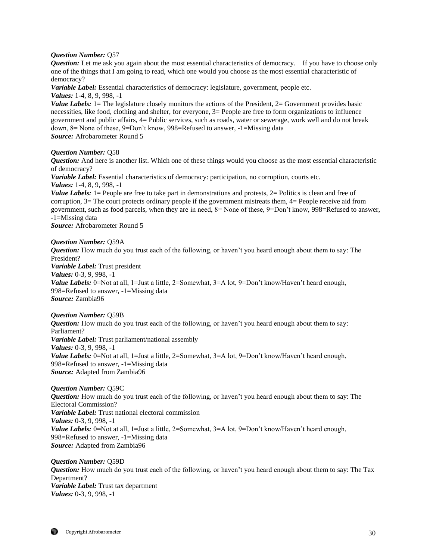## *Question Number:* Q57

*Question:* Let me ask you again about the most essential characteristics of democracy. If you have to choose only one of the things that I am going to read, which one would you choose as the most essential characteristic of democracy?

*Variable Label:* Essential characteristics of democracy: legislature, government, people etc. *Values:* 1-4, 8, 9, 998, -1

*Value Labels:* 1 = The legislature closely monitors the actions of the President, 2 = Government provides basic necessities, like food, clothing and shelter, for everyone, 3= People are free to form organizations to influence government and public affairs, 4= Public services, such as roads, water or sewerage, work well and do not break down, 8= None of these, 9=Don't know, 998=Refused to answer, -1=Missing data *Source:* Afrobarometer Round 5

#### *Question Number:* Q58

*Question:* And here is another list. Which one of these things would you choose as the most essential characteristic of democracy?

*Variable Label:* Essential characteristics of democracy: participation, no corruption, courts etc.

*Values:* 1-4, 8, 9, 998, -1

*Value Labels:* 1 = People are free to take part in demonstrations and protests, 2 = Politics is clean and free of corruption, 3= The court protects ordinary people if the government mistreats them, 4= People receive aid from government, such as food parcels, when they are in need, 8= None of these, 9=Don't know, 998=Refused to answer, -1=Missing data

*Source:* Afrobarometer Round 5

#### *Question Number:* Q59A

*Question:* How much do you trust each of the following, or haven't you heard enough about them to say: The President? *Variable Label:* Trust president *Values:* 0-3, 9, 998, -1 *Value Labels:* 0=Not at all, 1=Just a little, 2=Somewhat, 3=A lot, 9=Don't know/Haven't heard enough, 998=Refused to answer, -1=Missing data *Source:* Zambia96

#### *Question Number:* Q59B

*Question:* How much do you trust each of the following, or haven't you heard enough about them to say: Parliament? *Variable Label:* Trust parliament/national assembly *Values:* 0-3, 9, 998, -1 *Value Labels:* 0=Not at all, 1=Just a little, 2=Somewhat, 3=A lot, 9=Don't know/Haven't heard enough, 998=Refused to answer, -1=Missing data *Source:* Adapted from Zambia96

*Question Number:* Q59C *Question:* How much do you trust each of the following, or haven't you heard enough about them to say: The Electoral Commission? *Variable Label:* Trust national electoral commission *Values:* 0-3, 9, 998, -1 *Value Labels:* 0=Not at all, 1=Just a little, 2=Somewhat, 3=A lot, 9=Don't know/Haven't heard enough, 998=Refused to answer, -1=Missing data *Source:* Adapted from Zambia96

*Question Number:* Q59D *Question:* How much do you trust each of the following, or haven't you heard enough about them to say: The Tax Department? *Variable Label:* Trust tax department *Values:* 0-3, 9, 998, -1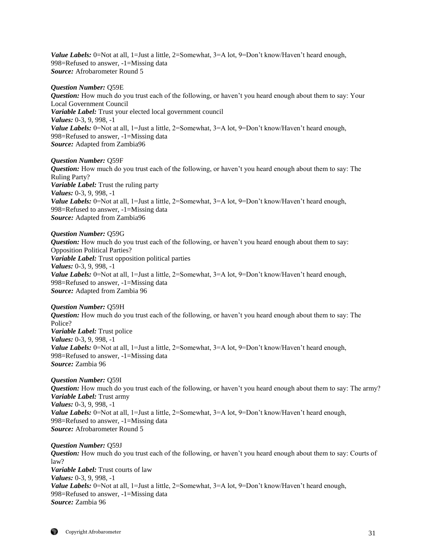Value Labels: 0=Not at all, 1=Just a little, 2=Somewhat, 3=A lot, 9=Don't know/Haven't heard enough, 998=Refused to answer, -1=Missing data *Source:* Afrobarometer Round 5

#### *Question Number:* Q59E

*Question:* How much do you trust each of the following, or haven't you heard enough about them to say: Your Local Government Council *Variable Label:* Trust your elected local government council *Values:* 0-3, 9, 998, -1 *Value Labels:* 0=Not at all, 1=Just a little, 2=Somewhat, 3=A lot, 9=Don't know/Haven't heard enough, 998=Refused to answer, -1=Missing data *Source:* Adapted from Zambia96

#### *Question Number:* Q59F

*Question:* How much do you trust each of the following, or haven't you heard enough about them to say: The Ruling Party? *Variable Label:* Trust the ruling party *Values:* 0-3, 9, 998, -1 *Value Labels:* 0=Not at all, 1=Just a little, 2=Somewhat, 3=A lot, 9=Don't know/Haven't heard enough, 998=Refused to answer, -1=Missing data *Source:* Adapted from Zambia96

#### *Question Number:* Q59G

*Question:* How much do you trust each of the following, or haven't you heard enough about them to say: Opposition Political Parties? *Variable Label:* Trust opposition political parties *Values:* 0-3, 9, 998, -1 *Value Labels:* 0=Not at all, 1=Just a little, 2=Somewhat, 3=A lot, 9=Don't know/Haven't heard enough, 998=Refused to answer, -1=Missing data *Source:* Adapted from Zambia 96

## *Question Number:* Q59H

*Question:* How much do you trust each of the following, or haven't you heard enough about them to say: The Police? *Variable Label:* Trust police *Values:* 0-3, 9, 998, -1 *Value Labels:* 0=Not at all, 1=Just a little, 2=Somewhat, 3=A lot, 9=Don't know/Haven't heard enough, 998=Refused to answer, -1=Missing data *Source:* Zambia 96

## *Question Number:* Q59I *Question:* How much do you trust each of the following, or haven't you heard enough about them to say: The army? *Variable Label:* Trust army *Values:* 0-3, 9, 998, -1 *Value Labels:* 0=Not at all, 1=Just a little, 2=Somewhat, 3=A lot, 9=Don't know/Haven't heard enough, 998=Refused to answer, -1=Missing data *Source:* Afrobarometer Round 5

*Question Number:* Q59J *Question:* How much do you trust each of the following, or haven't you heard enough about them to say: Courts of law? *Variable Label:* Trust courts of law *Values:* 0-3, 9, 998, -1 *Value Labels:* 0=Not at all, 1=Just a little, 2=Somewhat, 3=A lot, 9=Don't know/Haven't heard enough, 998=Refused to answer, -1=Missing data *Source:* Zambia 96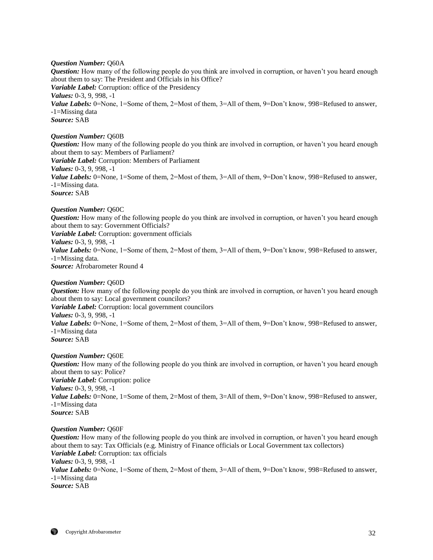## *Question Number:* Q60A

*Question:* How many of the following people do you think are involved in corruption, or haven't you heard enough about them to say: The President and Officials in his Office? *Variable Label:* Corruption: office of the Presidency *Values:* 0-3, 9, 998, -1 *Value Labels:* 0=None, 1=Some of them, 2=Most of them, 3=All of them, 9=Don't know, 998=Refused to answer, -1=Missing data *Source:* SAB

## *Question Number:* Q60B

*Question:* How many of the following people do you think are involved in corruption, or haven't you heard enough about them to say: Members of Parliament? *Variable Label:* Corruption: Members of Parliament *Values:* 0-3, 9, 998, -1 *Value Labels:* 0=None, 1=Some of them, 2=Most of them, 3=All of them, 9=Don't know, 998=Refused to answer, -1=Missing data. *Source:* SAB

#### *Question Number:* Q60C

*Question:* How many of the following people do you think are involved in corruption, or haven't you heard enough about them to say: Government Officials?

*Variable Label:* Corruption: government officials

## *Values:* 0-3, 9, 998, -1

Value Labels: 0=None, 1=Some of them, 2=Most of them, 3=All of them, 9=Don't know, 998=Refused to answer, -1=Missing data.

*Source:* Afrobarometer Round 4

#### *Question Number:* Q60D

*Question:* How many of the following people do you think are involved in corruption, or haven't you heard enough about them to say: Local government councilors?

*Variable Label:* Corruption: local government councilors

*Values:* 0-3, 9, 998, -1 *Value Labels:* 0=None, 1=Some of them, 2=Most of them, 3=All of them, 9=Don't know, 998=Refused to answer,

-1=Missing data *Source:* SAB

## *Question Number:* Q60E

*Question:* How many of the following people do you think are involved in corruption, or haven't you heard enough about them to say: Police? *Variable Label:* Corruption: police *Values:* 0-3, 9, 998, -1 *Value Labels:* 0=None, 1=Some of them, 2=Most of them, 3=All of them, 9=Don't know, 998=Refused to answer, -1=Missing data *Source:* SAB

#### *Question Number:* Q60F

*Question:* How many of the following people do you think are involved in corruption, or haven't you heard enough about them to say: Tax Officials (e.g. Ministry of Finance officials or Local Government tax collectors) *Variable Label:* Corruption: tax officials *Values:* 0-3, 9, 998, -1 Value Labels: 0=None, 1=Some of them, 2=Most of them, 3=All of them, 9=Don't know, 998=Refused to answer, -1=Missing data *Source:* SAB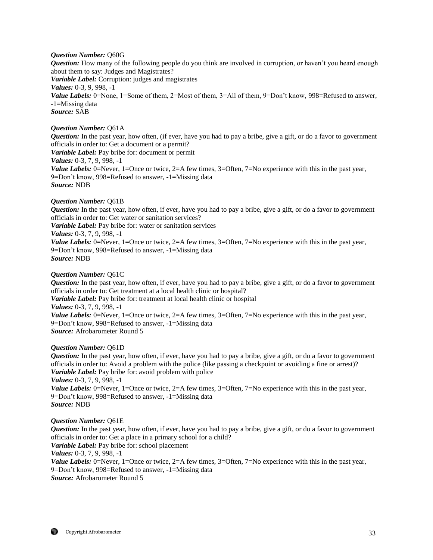## *Question Number:* Q60G

*Question:* How many of the following people do you think are involved in corruption, or haven't you heard enough about them to say: Judges and Magistrates? *Variable Label:* Corruption: judges and magistrates *Values:* 0-3, 9, 998, -1 *Value Labels:* 0=None, 1=Some of them, 2=Most of them, 3=All of them, 9=Don't know, 998=Refused to answer, -1=Missing data *Source:* SAB

## *Question Number:* Q61A

*Question:* In the past year, how often, (if ever, have you had to pay a bribe, give a gift, or do a favor to government officials in order to: Get a document or a permit? *Variable Label:* Pay bribe for: document or permit *Values:* 0-3, 7, 9, 998, -1 *Value Labels:* 0=Never, 1=Once or twice, 2=A few times, 3=Often, 7=No experience with this in the past year, 9=Don't know, 998=Refused to answer, -1=Missing data *Source:* NDB

## *Question Number:* Q61B

*Question:* In the past year, how often, if ever, have you had to pay a bribe, give a gift, or do a favor to government officials in order to: Get water or sanitation services?

*Variable Label:* Pay bribe for: water or sanitation services

#### *Values:* 0-3, 7, 9, 998, -1

*Value Labels:* 0=Never, 1=Once or twice, 2=A few times, 3=Often, 7=No experience with this in the past year, 9=Don't know, 998=Refused to answer, -1=Missing data *Source:* NDB

## *Question Number:* Q61C

*Question:* In the past year, how often, if ever, have you had to pay a bribe, give a gift, or do a favor to government officials in order to: Get treatment at a local health clinic or hospital? *Variable Label:* Pay bribe for: treatment at local health clinic or hospital *Values:* 0-3, 7, 9, 998, -1 *Value Labels:* 0=Never, 1=Once or twice, 2=A few times, 3=Often, 7=No experience with this in the past year, 9=Don't know, 998=Refused to answer, -1=Missing data *Source:* Afrobarometer Round 5

#### *Question Number:* Q61D

*Question:* In the past year, how often, if ever, have you had to pay a bribe, give a gift, or do a favor to government officials in order to: Avoid a problem with the police (like passing a checkpoint or avoiding a fine or arrest)? *Variable Label:* Pay bribe for: avoid problem with police *Values:* 0-3, 7, 9, 998, -1 *Value Labels:* 0=Never, 1=Once or twice, 2=A few times, 3=Often, 7=No experience with this in the past year, 9=Don't know, 998=Refused to answer, -1=Missing data *Source:* NDB

#### *Question Number:* Q61E

*Question:* In the past year, how often, if ever, have you had to pay a bribe, give a gift, or do a favor to government officials in order to: Get a place in a primary school for a child? *Variable Label:* Pay bribe for: school placement *Values:* 0-3, 7, 9, 998, -1 *Value Labels:* 0=Never, 1=Once or twice, 2=A few times, 3=Often, 7=No experience with this in the past year, 9=Don't know, 998=Refused to answer, -1=Missing data *Source:* Afrobarometer Round 5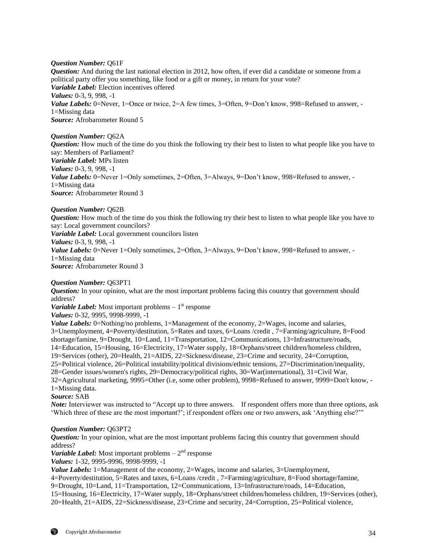## *Question Number:* Q61F

*Question:* And during the last national election in 2012, how often, if ever did a candidate or someone from a political party offer you something, like food or a gift or money, in return for your vote? *Variable Label:* Election incentives offered *Values:* 0-3, 9, 998, -1 *Value Labels:* 0=Never, 1=Once or twice, 2=A few times, 3=Often, 9=Don't know, 998=Refused to answer, -1=Missing data *Source:* Afrobarometer Round 5

## *Question Number:* Q62A

*Question:* How much of the time do you think the following try their best to listen to what people like you have to say: Members of Parliament? *Variable Label:* MPs listen *Values:* 0-3, 9, 998, -1 *Value Labels:* 0=Never 1=Only sometimes, 2=Often, 3=Always, 9=Don't know, 998=Refused to answer, -1=Missing data *Source:* Afrobarometer Round 3

## *Question Number:* Q62B

*Question:* How much of the time do you think the following try their best to listen to what people like you have to say: Local government councilors? *Variable Label:* Local government councilors listen *Values:* 0-3, 9, 998, -1 *Value Labels:* 0=Never 1=Only sometimes, 2=Often, 3=Always, 9=Don't know, 998=Refused to answer, -1=Missing data *Source:* Afrobarometer Round 3

#### *Question Number:* Q63PT1

*Question:* In your opinion, what are the most important problems facing this country that government should address?

Variable Label: Most important problems – 1<sup>st</sup> response

*Values:* 0-32, 9995, 9998-9999, -1

*Value Labels:* 0=Nothing/no problems, 1=Management of the economy, 2=Wages, income and salaries, 3=Unemployment, 4=Poverty/destitution, 5=Rates and taxes, 6=Loans /credit , 7=Farming/agriculture, 8=Food shortage/famine, 9=Drought, 10=Land, 11=Transportation, 12=Communications, 13=Infrastructure/roads, 14=Education, 15=Housing, 16=Electricity, 17=Water supply, 18=Orphans/street children/homeless children, 19=Services (other), 20=Health, 21=AIDS, 22=Sickness/disease, 23=Crime and security, 24=Corruption, 25=Political violence, 26=Political instability/political divisions/ethnic tensions, 27=Discrimination/inequality, 28=Gender issues/women's rights, 29=Democracy/political rights, 30=War(international), 31=Civil War, 32=Agricultural marketing, 9995=Other (i.e, some other problem), 9998=Refused to answer, 9999=Don't know, - 1=Missing data.

## *Source:* SAB

*Note:* Interviewer was instructed to "Accept up to three answers. If respondent offers more than three options, ask 'Which three of these are the most important?'; if respondent offers one or two answers, ask 'Anything else?'"

## *Question Number:* Q63PT2

*Question:* In your opinion, what are the most important problems facing this country that government should address?

*Variable Label:* Most important problems  $-2<sup>nd</sup>$  response

*Values:* 1-32, 9995-9996, 9998-9999, -1

*Value Labels:* 1=Management of the economy, 2=Wages, income and salaries, 3=Unemployment,

4=Poverty/destitution, 5=Rates and taxes, 6=Loans /credit , 7=Farming/agriculture, 8=Food shortage/famine,

9=Drought, 10=Land, 11=Transportation, 12=Communications, 13=Infrastructure/roads, 14=Education,

15=Housing, 16=Electricity, 17=Water supply, 18=Orphans/street children/homeless children, 19=Services (other), 20=Health, 21=AIDS, 22=Sickness/disease, 23=Crime and security, 24=Corruption, 25=Political violence,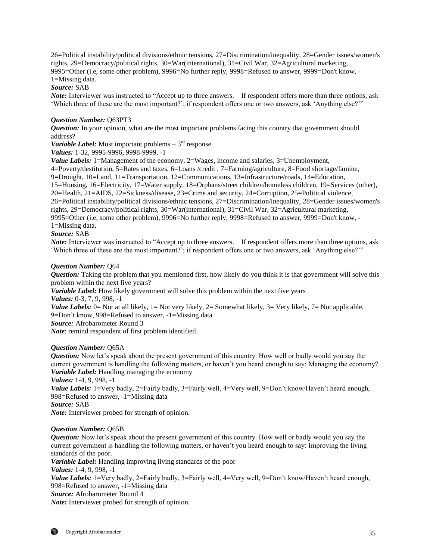26=Political instability/political divisions/ethnic tensions, 27=Discrimination/inequality, 28=Gender issues/women's rights, 29=Democracy/political rights, 30=War(international), 31=Civil War, 32=Agricultural marketing, 9995=Other (i.e, some other problem), 9996=No further reply, 9998=Refused to answer, 9999=Don't know, - 1=Missing data.

## *Source:* SAB

*Note:* Interviewer was instructed to "Accept up to three answers. If respondent offers more than three options, ask 'Which three of these are the most important?'; if respondent offers one or two answers, ask 'Anything else?'"

## *Question Number:* Q63PT3

*Question:* In your opinion, what are the most important problems facing this country that government should address?

Variable Label: Most important problems – 3<sup>rd</sup> response

*Values:* 1-32, 9995-9996, 9998-9999, -1

*Value Labels:* 1=Management of the economy, 2=Wages, income and salaries, 3=Unemployment,

4=Poverty/destitution, 5=Rates and taxes, 6=Loans /credit , 7=Farming/agriculture, 8=Food shortage/famine,

9=Drought, 10=Land, 11=Transportation, 12=Communications, 13=Infrastructure/roads, 14=Education,

15=Housing, 16=Electricity, 17=Water supply, 18=Orphans/street children/homeless children, 19=Services (other),

20=Health, 21=AIDS, 22=Sickness/disease, 23=Crime and security, 24=Corruption, 25=Political violence,

26=Political instability/political divisions/ethnic tensions, 27=Discrimination/inequality, 28=Gender issues/women's rights, 29=Democracy/political rights, 30=War(international), 31=Civil War, 32=Agricultural marketing,

9995=Other (i.e, some other problem), 9996=No further reply, 9998=Refused to answer, 9999=Don't know, -

1=Missing data.

## *Source:* SAB

*Note:* Interviewer was instructed to "Accept up to three answers. If respondent offers more than three options, ask 'Which three of these are the most important?'; if respondent offers one or two answers, ask 'Anything else?'"

## *Question Number:* Q64

*Question:* Taking the problem that you mentioned first, how likely do you think it is that government will solve this problem within the next five years?

*Variable Label:* How likely government will solve this problem within the next five years

*Values:* 0-3, 7, 9, 998, -1

*Value Labels:* 0= Not at all likely, 1= Not very likely, 2= Somewhat likely, 3= Very likely, 7= Not applicable, 9=Don't know, 998=Refused to answer, -1=Missing data

*Source:* Afrobarometer Round 3

*Note*: remind respondent of first problem identified.

#### *Question Number:* Q65A

*Question:* Now let's speak about the present government of this country. How well or badly would you say the current government is handling the following matters, or haven't you heard enough to say: Managing the economy? *Variable Label:* Handling managing the economy

*Values:* 1-4, 9, 998, -1

*Value Labels:* 1=Very badly, 2=Fairly badly, 3=Fairly well, 4=Very well, 9=Don't know/Haven't heard enough, 998=Refused to answer, -1=Missing data

*Source:* SAB

*Note:* Interviewer probed for strength of opinion.

#### *Question Number:* Q65B

*Question:* Now let's speak about the present government of this country. How well or badly would you say the current government is handling the following matters, or haven't you heard enough to say: Improving the living standards of the poor.

*Variable Label:* Handling improving living standards of the poor *Values:* 1-4, 9, 998, -1 *Value Labels:* 1=Very badly, 2=Fairly badly, 3=Fairly well, 4=Very well, 9=Don't know/Haven't heard enough, 998=Refused to answer, -1=Missing data *Source:* Afrobarometer Round 4 *Note:* Interviewer probed for strength of opinion.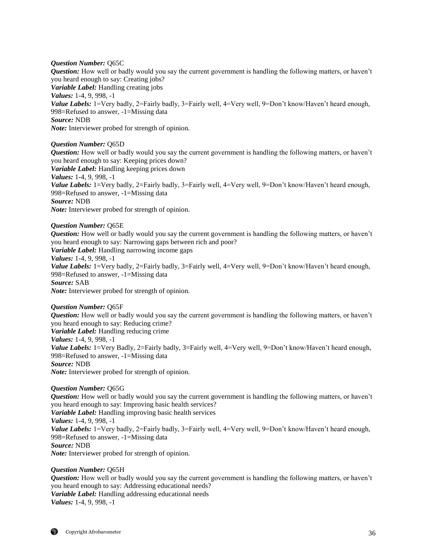## *Question Number:* Q65C

*Question:* How well or badly would you say the current government is handling the following matters, or haven't you heard enough to say: Creating jobs? *Variable Label:* Handling creating jobs *Values:* 1-4, 9, 998, -1 *Value Labels:* 1=Very badly, 2=Fairly badly, 3=Fairly well, 4=Very well, 9=Don't know/Haven't heard enough, 998=Refused to answer, -1=Missing data *Source:* NDB *Note:* Interviewer probed for strength of opinion.

#### *Question Number:* Q65D

*Question:* How well or badly would you say the current government is handling the following matters, or haven't you heard enough to say: Keeping prices down? *Variable Label:* Handling keeping prices down *Values:* 1-4, 9, 998, -1 *Value Labels:* 1=Very badly, 2=Fairly badly, 3=Fairly well, 4=Very well, 9=Don't know/Haven't heard enough, 998=Refused to answer, -1=Missing data *Source:* NDB *Note:* Interviewer probed for strength of opinion.

#### *Question Number:* Q65E

*Question:* How well or badly would you say the current government is handling the following matters, or haven't you heard enough to say: Narrowing gaps between rich and poor? *Variable Label:* Handling narrowing income gaps *Values:* 1-4, 9, 998, -1 *Value Labels:* 1=Very badly, 2=Fairly badly, 3=Fairly well, 4=Very well, 9=Don't know/Haven't heard enough, 998=Refused to answer, -1=Missing data *Source:* SAB *Note:* Interviewer probed for strength of opinion.

### *Question Number:* Q65F

*Question:* How well or badly would you say the current government is handling the following matters, or haven't you heard enough to say: Reducing crime? *Variable Label:* Handling reducing crime *Values:* 1-4, 9, 998, -1 *Value Labels:* 1=Very Badly, 2=Fairly badly, 3=Fairly well, 4=Very well, 9=Don't know/Haven't heard enough, 998=Refused to answer, -1=Missing data *Source:* NDB *Note:* Interviewer probed for strength of opinion.

#### *Question Number:* Q65G

*Question:* How well or badly would you say the current government is handling the following matters, or haven't you heard enough to say: Improving basic health services? *Variable Label:* Handling improving basic health services *Values:* 1-4, 9, 998, -1 *Value Labels:* 1=Very badly, 2=Fairly badly, 3=Fairly well, 4=Very well, 9=Don't know/Haven't heard enough, 998=Refused to answer, -1=Missing data *Source:* NDB *Note:* Interviewer probed for strength of opinion.

#### *Question Number:* Q65H

*Question:* How well or badly would you say the current government is handling the following matters, or haven't you heard enough to say: Addressing educational needs? *Variable Label:* Handling addressing educational needs *Values:* 1-4, 9, 998, -1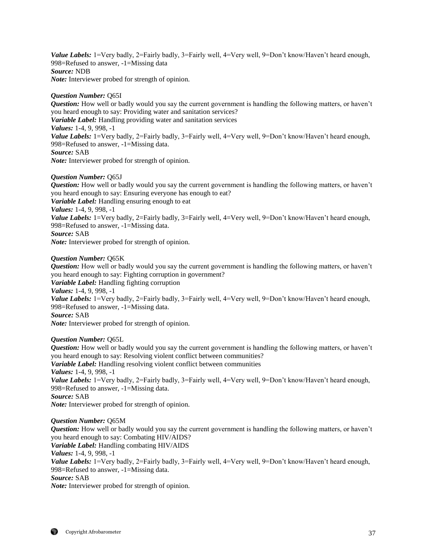Value Labels: 1=Very badly, 2=Fairly badly, 3=Fairly well, 4=Very well, 9=Don't know/Haven't heard enough, 998=Refused to answer, -1=Missing data *Source:* NDB *Note:* Interviewer probed for strength of opinion.

## *Question Number:* Q65I

*Question:* How well or badly would you say the current government is handling the following matters, or haven't you heard enough to say: Providing water and sanitation services? *Variable Label:* Handling providing water and sanitation services *Values:* 1-4, 9, 998, -1 *Value Labels:* 1=Very badly, 2=Fairly badly, 3=Fairly well, 4=Very well, 9=Don't know/Haven't heard enough, 998=Refused to answer, -1=Missing data. *Source:* SAB *Note:* Interviewer probed for strength of opinion.

## *Question Number:* Q65J

*Question:* How well or badly would you say the current government is handling the following matters, or haven't you heard enough to say: Ensuring everyone has enough to eat?

*Variable Label:* Handling ensuring enough to eat

*Values:* 1-4, 9, 998, -1

*Value Labels:* 1=Very badly, 2=Fairly badly, 3=Fairly well, 4=Very well, 9=Don't know/Haven't heard enough, 998=Refused to answer, -1=Missing data.

#### *Source:* SAB

*Note:* Interviewer probed for strength of opinion.

#### *Question Number:* Q65K

*Question:* How well or badly would you say the current government is handling the following matters, or haven't you heard enough to say: Fighting corruption in government?

*Variable Label:* Handling fighting corruption

*Values:* 1-4, 9, 998, -1

*Value Labels:* 1=Very badly, 2=Fairly badly, 3=Fairly well, 4=Very well, 9=Don't know/Haven't heard enough, 998=Refused to answer, -1=Missing data.

### *Source:* SAB

*Note:* Interviewer probed for strength of opinion.

## *Question Number:* Q65L

*Question:* How well or badly would you say the current government is handling the following matters, or haven't you heard enough to say: Resolving violent conflict between communities? *Variable Label:* Handling resolving violent conflict between communities *Values:* 1-4, 9, 998, -1 *Value Labels:* 1=Very badly, 2=Fairly badly, 3=Fairly well, 4=Very well, 9=Don't know/Haven't heard enough, 998=Refused to answer, -1=Missing data. *Source:* SAB *Note:* Interviewer probed for strength of opinion.

#### *Question Number:* Q65M

*Question:* How well or badly would you say the current government is handling the following matters, or haven't you heard enough to say: Combating HIV/AIDS? *Variable Label:* Handling combating HIV/AIDS *Values:* 1-4, 9, 998, -1 *Value Labels:* 1=Very badly, 2=Fairly badly, 3=Fairly well, 4=Very well, 9=Don't know/Haven't heard enough, 998=Refused to answer, -1=Missing data. *Source:* SAB *Note:* Interviewer probed for strength of opinion.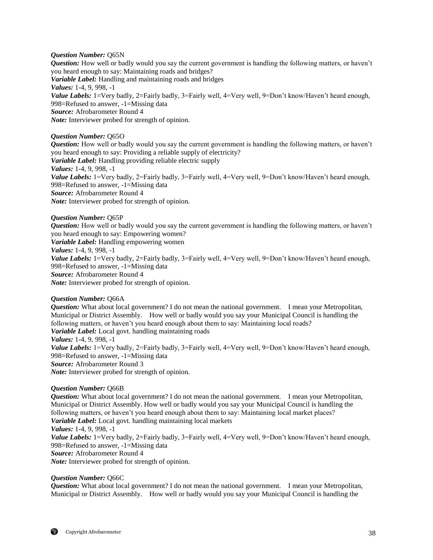## *Question Number:* Q65N

*Question:* How well or badly would you say the current government is handling the following matters, or haven't you heard enough to say: Maintaining roads and bridges? *Variable Label:* Handling and maintaining roads and bridges *Values:* 1-4, 9, 998, -1 Value Labels: 1=Very badly, 2=Fairly badly, 3=Fairly well, 4=Very well, 9=Don't know/Haven't heard enough, 998=Refused to answer, -1=Missing data *Source:* Afrobarometer Round 4 *Note:* Interviewer probed for strength of opinion.

## *Question Number:* Q65O

*Question:* How well or badly would you say the current government is handling the following matters, or haven't you heard enough to say: Providing a reliable supply of electricity? *Variable Label:* Handling providing reliable electric supply *Values:* 1-4, 9, 998, -1 *Value Labels:* 1=Very badly, 2=Fairly badly, 3=Fairly well, 4=Very well, 9=Don't know/Haven't heard enough, 998=Refused to answer, -1=Missing data *Source:* Afrobarometer Round 4 *Note:* Interviewer probed for strength of opinion.

#### *Question Number:* Q65P

*Question:* How well or badly would you say the current government is handling the following matters, or haven't you heard enough to say: Empowering women? *Variable Label:* Handling empowering women *Values:* 1-4, 9, 998, -1 *Value Labels:* 1=Very badly, 2=Fairly badly, 3=Fairly well, 4=Very well, 9=Don't know/Haven't heard enough, 998=Refused to answer, -1=Missing data *Source:* Afrobarometer Round 4 *Note:* Interviewer probed for strength of opinion.

#### *Question Number:* Q66A

*Question:* What about local government? I do not mean the national government. I mean your Metropolitan, Municipal or District Assembly. How well or badly would you say your Municipal Council is handling the following matters, or haven't you heard enough about them to say: Maintaining local roads? *Variable Label:* Local govt. handling maintaining roads *Values:* 1-4, 9, 998, -1 *Value Labels:* 1=Very badly, 2=Fairly badly, 3=Fairly well, 4=Very well, 9=Don't know/Haven't heard enough, 998=Refused to answer, -1=Missing data *Source:* Afrobarometer Round 3 *Note:* Interviewer probed for strength of opinion.

#### *Question Number:* Q66B

*Question:* What about local government? I do not mean the national government. I mean your Metropolitan, Municipal or District Assembly. How well or badly would you say your Municipal Council is handling the following matters, or haven't you heard enough about them to say: Maintaining local market places? *Variable Label:* Local govt. handling maintaining local markets *Values:* 1-4, 9, 998, -1 *Value Labels:* 1=Very badly, 2=Fairly badly, 3=Fairly well, 4=Very well, 9=Don't know/Haven't heard enough, 998=Refused to answer, -1=Missing data *Source:* Afrobarometer Round 4 *Note:* Interviewer probed for strength of opinion.

#### *Question Number:* Q66C

*Question:* What about local government? I do not mean the national government. I mean your Metropolitan, Municipal or District Assembly. How well or badly would you say your Municipal Council is handling the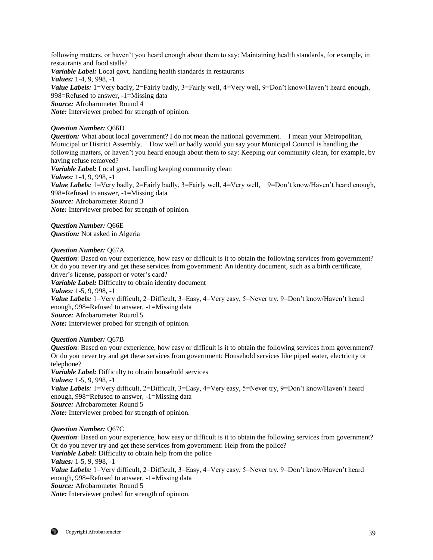following matters, or haven't you heard enough about them to say: Maintaining health standards, for example, in restaurants and food stalls? *Variable Label:* Local govt. handling health standards in restaurants *Values:* 1-4, 9, 998, -1 *Value Labels:* 1=Very badly, 2=Fairly badly, 3=Fairly well, 4=Very well, 9=Don't know/Haven't heard enough, 998=Refused to answer, -1=Missing data *Source:* Afrobarometer Round 4 *Note:* Interviewer probed for strength of opinion.

## *Question Number:* Q66D

*Question:* What about local government? I do not mean the national government. I mean your Metropolitan, Municipal or District Assembly. How well or badly would you say your Municipal Council is handling the following matters, or haven't you heard enough about them to say: Keeping our community clean, for example, by having refuse removed?

*Variable Label:* Local govt. handling keeping community clean *Values:* 1-4, 9, 998, -1 *Value Labels:* 1=Very badly, 2=Fairly badly, 3=Fairly well, 4=Very well, 9=Don't know/Haven't heard enough, 998=Refused to answer, -1=Missing data *Source:* Afrobarometer Round 3 *Note:* Interviewer probed for strength of opinion.

*Question Number:* Q66E *Question:* Not asked in Algeria

## *Question Number:* Q67A

*Question*: Based on your experience, how easy or difficult is it to obtain the following services from government? Or do you never try and get these services from government: An identity document, such as a birth certificate, driver's license, passport or voter's card?

*Variable Label:* Difficulty to obtain identity document

*Values:* 1-5, 9, 998, -1

Value Labels: 1=Very difficult, 2=Difficult, 3=Easy, 4=Very easy, 5=Never try, 9=Don't know/Haven't heard enough, 998=Refused to answer, -1=Missing data

*Source:* Afrobarometer Round 5

*Note:* Interviewer probed for strength of opinion.

## *Question Number:* Q67B

*Question*: Based on your experience, how easy or difficult is it to obtain the following services from government? Or do you never try and get these services from government: Household services like piped water, electricity or telephone? *Variable Label:* Difficulty to obtain household services

*Values:* 1-5, 9, 998, -1 Value Labels: 1=Very difficult, 2=Difficult, 3=Easy, 4=Very easy, 5=Never try, 9=Don't know/Haven't heard enough, 998=Refused to answer, -1=Missing data *Source:* Afrobarometer Round 5 *Note:* Interviewer probed for strength of opinion.

*Question Number:* Q67C

*Question*: Based on your experience, how easy or difficult is it to obtain the following services from government? Or do you never try and get these services from government: Help from the police? *Variable Label:* Difficulty to obtain help from the police *Values:* 1-5, 9, 998, -1 *Value Labels:* 1=Very difficult, 2=Difficult, 3=Easy, 4=Very easy, 5=Never try, 9=Don't know/Haven't heard enough, 998=Refused to answer, -1=Missing data *Source:* Afrobarometer Round 5 *Note:* Interviewer probed for strength of opinion.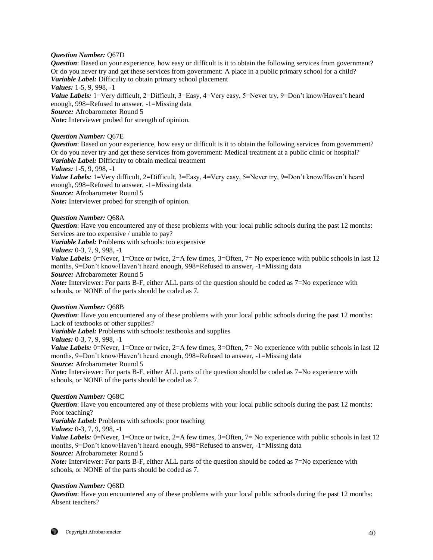## *Question Number:* Q67D

*Question*: Based on your experience, how easy or difficult is it to obtain the following services from government? Or do you never try and get these services from government: A place in a public primary school for a child? *Variable Label:* Difficulty to obtain primary school placement *Values:* 1-5, 9, 998, -1

*Value Labels:* 1=Very difficult, 2=Difficult, 3=Easy, 4=Very easy, 5=Never try, 9=Don't know/Haven't heard enough, 998=Refused to answer, -1=Missing data *Source:* Afrobarometer Round 5 *Note:* Interviewer probed for strength of opinion.

## *Question Number:* Q67E

*Question*: Based on your experience, how easy or difficult is it to obtain the following services from government? Or do you never try and get these services from government: Medical treatment at a public clinic or hospital? *Variable Label:* Difficulty to obtain medical treatment

*Values:* 1-5, 9, 998, -1

*Value Labels:* 1=Very difficult, 2=Difficult, 3=Easy, 4=Very easy, 5=Never try, 9=Don't know/Haven't heard enough, 998=Refused to answer, -1=Missing data *Source:* Afrobarometer Round 5

*Note:* Interviewer probed for strength of opinion.

## *Question Number:* Q68A

*Question*: Have you encountered any of these problems with your local public schools during the past 12 months: Services are too expensive / unable to pay?

*Variable Label:* Problems with schools: too expensive

*Values:* 0-3, 7, 9, 998, -1

*Value Labels:* 0=Never, 1=Once or twice, 2=A few times, 3=Often, 7= No experience with public schools in last 12 months, 9=Don't know/Haven't heard enough, 998=Refused to answer, -1=Missing data

*Source:* Afrobarometer Round 5

*Note:* Interviewer: For parts B-F, either ALL parts of the question should be coded as 7=No experience with schools, or NONE of the parts should be coded as 7.

## *Question Number:* Q68B

*Question*: Have you encountered any of these problems with your local public schools during the past 12 months: Lack of textbooks or other supplies?

*Variable Label:* Problems with schools: textbooks and supplies

*Values:* 0-3, 7, 9, 998, -1

*Value Labels:* 0=Never, 1=Once or twice, 2=A few times, 3=Often, 7= No experience with public schools in last 12 months, 9=Don't know/Haven't heard enough, 998=Refused to answer, -1=Missing data

*Source:* Afrobarometer Round 5

*Note:* Interviewer: For parts B-F, either ALL parts of the question should be coded as 7=No experience with schools, or NONE of the parts should be coded as 7.

#### *Question Number:* Q68C

*Question*: Have you encountered any of these problems with your local public schools during the past 12 months: Poor teaching?

*Variable Label:* Problems with schools: poor teaching

*Values:* 0-3, 7, 9, 998, -1

*Value Labels:* 0=Never, 1=Once or twice, 2=A few times, 3=Often, 7= No experience with public schools in last 12 months, 9=Don't know/Haven't heard enough, 998=Refused to answer, -1=Missing data *Source:* Afrobarometer Round 5

*Note:* Interviewer: For parts B-F, either ALL parts of the question should be coded as 7=No experience with schools, or NONE of the parts should be coded as 7.

## *Question Number:* Q68D

*Question*: Have you encountered any of these problems with your local public schools during the past 12 months: Absent teachers?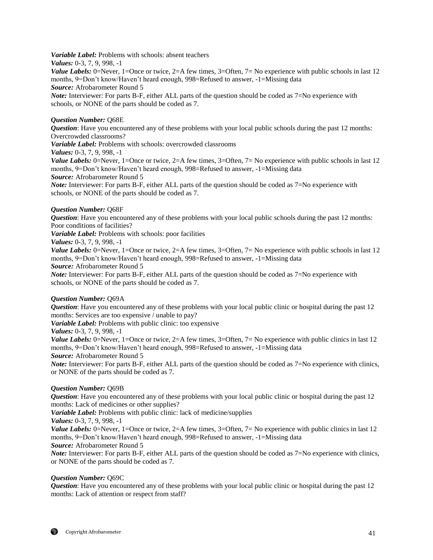*Variable Label:* Problems with schools: absent teachers

*Values:* 0-3, 7, 9, 998, -1

*Value Labels:* 0=Never, 1=Once or twice, 2=A few times, 3=Often, 7= No experience with public schools in last 12 months, 9=Don't know/Haven't heard enough, 998=Refused to answer, -1=Missing data *Source:* Afrobarometer Round 5

*Note:* Interviewer: For parts B-F, either ALL parts of the question should be coded as 7=No experience with schools, or NONE of the parts should be coded as 7.

# *Question Number:* Q68E

*Question*: Have you encountered any of these problems with your local public schools during the past 12 months: Overcrowded classrooms?

*Variable Label:* Problems with schools: overcrowded classrooms

*Values:* 0-3, 7, 9, 998, -1

*Value Labels:* 0=Never, 1=Once or twice, 2=A few times, 3=Often, 7= No experience with public schools in last 12 months, 9=Don't know/Haven't heard enough, 998=Refused to answer, -1=Missing data

*Source:* Afrobarometer Round 5

*Note:* Interviewer: For parts B-F, either ALL parts of the question should be coded as 7=No experience with schools, or NONE of the parts should be coded as 7.

# *Question Number:* Q68F

*Question*: Have you encountered any of these problems with your local public schools during the past 12 months: Poor conditions of facilities?

*Variable Label:* Problems with schools: poor facilities

# *Values:* 0-3, 7, 9, 998, -1

*Value Labels:* 0=Never, 1=Once or twice, 2=A few times, 3=Often, 7= No experience with public schools in last 12 months, 9=Don't know/Haven't heard enough, 998=Refused to answer, -1=Missing data

*Source:* Afrobarometer Round 5

*Note:* Interviewer: For parts B-F, either ALL parts of the question should be coded as 7=No experience with schools, or NONE of the parts should be coded as 7.

## *Question Number:* Q69A

*Question*: Have you encountered any of these problems with your local public clinic or hospital during the past 12 months: Services are too expensive / unable to pay?

*Variable Label:* Problems with public clinic: too expensive

*Values:* 0-3, 7, 9, 998, -1

*Value Labels:* 0=Never, 1=Once or twice, 2=A few times, 3=Often, 7= No experience with public clinics in last 12 months, 9=Don't know/Haven't heard enough, 998=Refused to answer, -1=Missing data

*Source:* Afrobarometer Round 5

*Note:* Interviewer: For parts B-F, either ALL parts of the question should be coded as 7=No experience with clinics, or NONE of the parts should be coded as 7.

# *Question Number:* Q69B

*Question*: Have you encountered any of these problems with your local public clinic or hospital during the past 12 months: Lack of medicines or other supplies?

*Variable Label:* Problems with public clinic: lack of medicine/supplies

*Values:* 0-3, 7, 9, 998, -1

*Value Labels:* 0=Never, 1=Once or twice, 2=A few times, 3=Often, 7= No experience with public clinics in last 12 months, 9=Don't know/Haven't heard enough, 998=Refused to answer, -1=Missing data

*Source:* Afrobarometer Round 5

*Note:* Interviewer: For parts B-F, either ALL parts of the question should be coded as 7=No experience with clinics, or NONE of the parts should be coded as 7.

## *Question Number:* Q69C

*Question*: Have you encountered any of these problems with your local public clinic or hospital during the past 12 months: Lack of attention or respect from staff?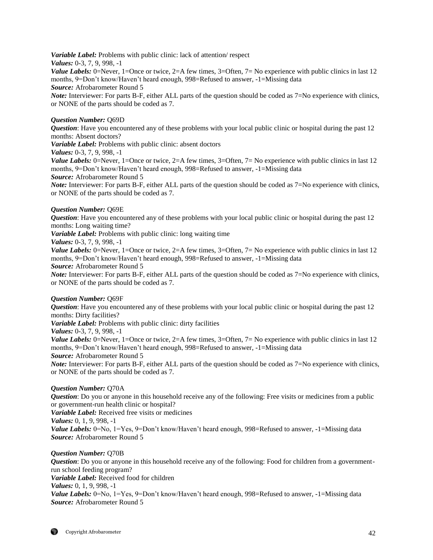*Variable Label:* Problems with public clinic: lack of attention/ respect *Values:* 0-3, 7, 9, 998, -1

*Value Labels:* 0=Never, 1=Once or twice, 2=A few times, 3=Often, 7= No experience with public clinics in last 12 months, 9=Don't know/Haven't heard enough, 998=Refused to answer, -1=Missing data

*Source:* Afrobarometer Round 5

*Note:* Interviewer: For parts B-F, either ALL parts of the question should be coded as 7=No experience with clinics, or NONE of the parts should be coded as 7.

## *Question Number:* Q69D

*Question*: Have you encountered any of these problems with your local public clinic or hospital during the past 12 months: Absent doctors?

*Variable Label:* Problems with public clinic: absent doctors

*Values:* 0-3, 7, 9, 998, -1

*Value Labels:* 0=Never, 1=Once or twice, 2=A few times, 3=Often, 7= No experience with public clinics in last 12 months, 9=Don't know/Haven't heard enough, 998=Refused to answer, -1=Missing data

*Source:* Afrobarometer Round 5

*Note:* Interviewer: For parts B-F, either ALL parts of the question should be coded as 7=No experience with clinics, or NONE of the parts should be coded as 7.

## *Question Number:* Q69E

*Question*: Have you encountered any of these problems with your local public clinic or hospital during the past 12 months: Long waiting time?

*Variable Label:* Problems with public clinic: long waiting time

*Values:* 0-3, 7, 9, 998, -1

*Value Labels:* 0=Never, 1=Once or twice, 2=A few times, 3=Often, 7= No experience with public clinics in last 12 months, 9=Don't know/Haven't heard enough, 998=Refused to answer, -1=Missing data

*Source:* Afrobarometer Round 5

*Note:* Interviewer: For parts B-F, either ALL parts of the question should be coded as 7=No experience with clinics, or NONE of the parts should be coded as 7.

## *Question Number:* Q69F

*Question*: Have you encountered any of these problems with your local public clinic or hospital during the past 12 months: Dirty facilities?

*Variable Label:* Problems with public clinic: dirty facilities

*Values:* 0-3, 7, 9, 998, -1

*Value Labels:* 0=Never, 1=Once or twice, 2=A few times, 3=Often, 7= No experience with public clinics in last 12 months, 9=Don't know/Haven't heard enough, 998=Refused to answer, -1=Missing data

*Source:* Afrobarometer Round 5

*Note:* Interviewer: For parts B-F, either ALL parts of the question should be coded as 7=No experience with clinics, or NONE of the parts should be coded as 7.

## *Question Number:* Q70A

*Question*: Do you or anyone in this household receive any of the following: Free visits or medicines from a public or government-run health clinic or hospital?

*Variable Label:* Received free visits or medicines

*Values:* 0, 1, 9, 998, -1

*Value Labels:* 0=No, 1=Yes, 9=Don't know/Haven't heard enough, 998=Refused to answer, -1=Missing data *Source:* Afrobarometer Round 5

## *Question Number:* Q70B

*Question*: Do you or anyone in this household receive any of the following: Food for children from a governmentrun school feeding program? *Variable Label:* Received food for children *Values:* 0, 1, 9, 998, -1 *Value Labels:* 0=No, 1=Yes, 9=Don't know/Haven't heard enough, 998=Refused to answer, -1=Missing data *Source:* Afrobarometer Round 5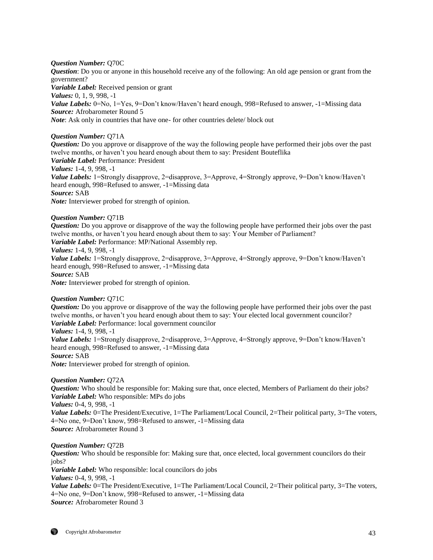## *Question Number:* Q70C

*Question*: Do you or anyone in this household receive any of the following: An old age pension or grant from the government?

*Variable Label:* Received pension or grant

*Values:* 0, 1, 9, 998, -1

*Value Labels:* 0=No, 1=Yes, 9=Don't know/Haven't heard enough, 998=Refused to answer, -1=Missing data *Source:* Afrobarometer Round 5

*Note*: Ask only in countries that have one- for other countries delete/ block out

## *Question Number:* Q71A

*Question:* Do you approve or disapprove of the way the following people have performed their jobs over the past twelve months, or haven't you heard enough about them to say: President Bouteflika *Variable Label:* Performance: President *Values:* 1-4, 9, 998, -1

*Value Labels:* 1=Strongly disapprove, 2=disapprove, 3=Approve, 4=Strongly approve, 9=Don't know/Haven't heard enough, 998=Refused to answer, -1=Missing data *Source:* SAB

*Note:* Interviewer probed for strength of opinion.

# *Question Number:* Q71B

*Question:* Do you approve or disapprove of the way the following people have performed their jobs over the past twelve months, or haven't you heard enough about them to say: Your Member of Parliament?

*Variable Label:* Performance: MP/National Assembly rep.

*Values:* 1-4, 9, 998, -1

*Value Labels:* 1=Strongly disapprove, 2=disapprove, 3=Approve, 4=Strongly approve, 9=Don't know/Haven't heard enough, 998=Refused to answer, -1=Missing data *Source:* SAB

*Note:* Interviewer probed for strength of opinion.

## *Question Number:* Q71C

*Question:* Do you approve or disapprove of the way the following people have performed their jobs over the past twelve months, or haven't you heard enough about them to say: Your elected local government councilor? *Variable Label:* Performance: local government councilor

*Values:* 1-4, 9, 998, -1

*Value Labels:* 1=Strongly disapprove, 2=disapprove, 3=Approve, 4=Strongly approve, 9=Don't know/Haven't heard enough, 998=Refused to answer, -1=Missing data

*Source:* SAB

*Note:* Interviewer probed for strength of opinion.

## *Question Number:* Q72A

*Question:* Who should be responsible for: Making sure that, once elected, Members of Parliament do their jobs? *Variable Label:* Who responsible: MPs do jobs *Values:* 0-4, 9, 998, -1

*Value Labels:* 0=The President/Executive, 1=The Parliament/Local Council, 2=Their political party, 3=The voters, 4=No one, 9=Don't know, 998=Refused to answer, -1=Missing data *Source:* Afrobarometer Round 3

## *Question Number:* Q72B

*Question:* Who should be responsible for: Making sure that, once elected, local government councilors do their jobs?

*Variable Label:* Who responsible: local councilors do jobs

*Values:* 0-4, 9, 998, -1

*Value Labels:* 0=The President/Executive, 1=The Parliament/Local Council, 2=Their political party, 3=The voters, 4=No one, 9=Don't know, 998=Refused to answer, -1=Missing data *Source:* Afrobarometer Round 3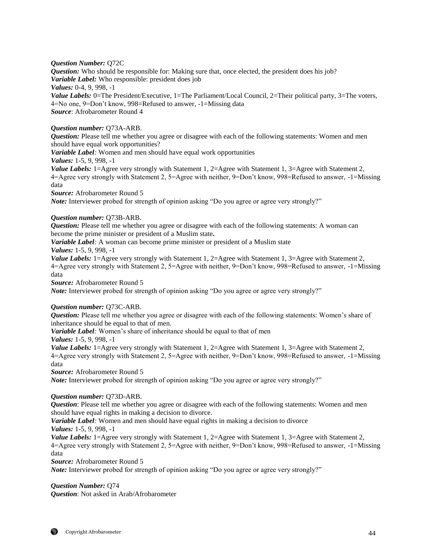## *Question Number:* Q72C

*Question:* Who should be responsible for: Making sure that, once elected, the president does his job? *Variable Label:* Who responsible: president does job *Values:* 0-4, 9, 998, -1 *Value Labels:* 0=The President/Executive, 1=The Parliament/Local Council, 2=Their political party, 3=The voters, 4=No one, 9=Don't know, 998=Refused to answer, -1=Missing data

*Source*: Afrobarometer Round 4

## *Question number:* Q73A-ARB.

*Question:* Please tell me whether you agree or disagree with each of the following statements: Women and men should have equal work opportunities?

*Variable Label:* Women and men should have equal work opportunities

*Values:* 1-5, 9, 998, -1

*Value Labels:* 1=Agree very strongly with Statement 1, 2=Agree with Statement 1, 3=Agree with Statement 2, 4=Agree very strongly with Statement 2, 5=Agree with neither, 9=Don't know, 998=Refused to answer, -1=Missing data

*Source:* Afrobarometer Round 5

*Note:* Interviewer probed for strength of opinion asking "Do you agree or agree very strongly?"

## *Question number:* Q73B-ARB.

*Question:* Please tell me whether you agree or disagree with each of the following statements: A woman can become the prime minister or president of a Muslim state**.**

*Variable Label:* A woman can become prime minister or president of a Muslim state *Values:* 1-5, 9, 998, -1

*Value Labels:* 1=Agree very strongly with Statement 1, 2=Agree with Statement 1, 3=Agree with Statement 2, 4=Agree very strongly with Statement 2, 5=Agree with neither, 9=Don't know, 998=Refused to answer, -1=Missing data

*Source:* Afrobarometer Round 5

*Note:* Interviewer probed for strength of opinion asking "Do you agree or agree very strongly?"

## *Question number:* Q73C-ARB.

*Question:* Please tell me whether you agree or disagree with each of the following statements: Women's share of inheritance should be equal to that of men.

*Variable Label:* Women's share of inheritance should be equal to that of men

*Values:* 1-5, 9, 998, -1

*Value Labels:* 1=Agree very strongly with Statement 1, 2=Agree with Statement 1, 3=Agree with Statement 2, 4=Agree very strongly with Statement 2, 5=Agree with neither, 9=Don't know, 998=Refused to answer, -1=Missing data

*Source:* Afrobarometer Round 5

*Note:* Interviewer probed for strength of opinion asking "Do you agree or agree very strongly?"

## *Question number:* Q73D-ARB.

*Question*: Please tell me whether you agree or disagree with each of the following statements: Women and men should have equal rights in making a decision to divorce.

*Variable Label:* Women and men should have equal rights in making a decision to divorce *Values:* 1-5, 9, 998, -1

*Value Labels:* 1=Agree very strongly with Statement 1, 2=Agree with Statement 1, 3=Agree with Statement 2, 4=Agree very strongly with Statement 2, 5=Agree with neither, 9=Don't know, 998=Refused to answer, -1=Missing data

*Source:* Afrobarometer Round 5

*Note:* Interviewer probed for strength of opinion asking "Do you agree or agree very strongly?"

# *Question Number:* Q74

*Question*: Not asked in Arab/Afrobarometer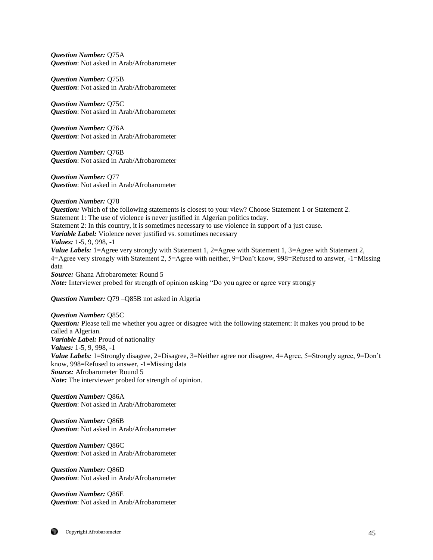*Question Number:* Q75A *Question*: Not asked in Arab/Afrobarometer

*Question Number:* Q75B *Question*: Not asked in Arab/Afrobarometer

*Question Number:* Q75C *Question*: Not asked in Arab/Afrobarometer

*Question Number:* Q76A *Question*: Not asked in Arab/Afrobarometer

*Question Number:* Q76B *Question*: Not asked in Arab/Afrobarometer

*Question Number:* Q77 *Question*: Not asked in Arab/Afrobarometer

*Question Number:* Q78 **Question:** Which of the following statements is closest to your view? Choose Statement 1 or Statement 2. Statement 1: The use of violence is never justified in Algerian politics today. Statement 2: In this country, it is sometimes necessary to use violence in support of a just cause. *Variable Label:* Violence never justified vs. sometimes necessary *Values:* 1-5, 9, 998, -1 *Value Labels:* 1=Agree very strongly with Statement 1, 2=Agree with Statement 1, 3=Agree with Statement 2, 4=Agree very strongly with Statement 2, 5=Agree with neither, 9=Don't know, 998=Refused to answer, -1=Missing data *Source:* Ghana Afrobarometer Round 5 *Note:* Interviewer probed for strength of opinion asking "Do you agree or agree very strongly

*Question Number:* Q79 –Q85B not asked in Algeria

*Question Number:* Q85C *Question:* Please tell me whether you agree or disagree with the following statement: It makes you proud to be called a Algerian. *Variable Label:* Proud of nationality *Values:* 1-5, 9, 998, -1 *Value Labels:* 1=Strongly disagree, 2=Disagree, 3=Neither agree nor disagree, 4=Agree, 5=Strongly agree, 9=Don't know, 998=Refused to answer, -1=Missing data *Source:* Afrobarometer Round 5 *Note:* The interviewer probed for strength of opinion.

*Question Number:* Q86A *Question*: Not asked in Arab/Afrobarometer

*Question Number:* Q86B *Question*: Not asked in Arab/Afrobarometer

*Question Number:* Q86C *Question*: Not asked in Arab/Afrobarometer

*Question Number:* Q86D *Question*: Not asked in Arab/Afrobarometer

*Question Number:* Q86E *Question*: Not asked in Arab/Afrobarometer

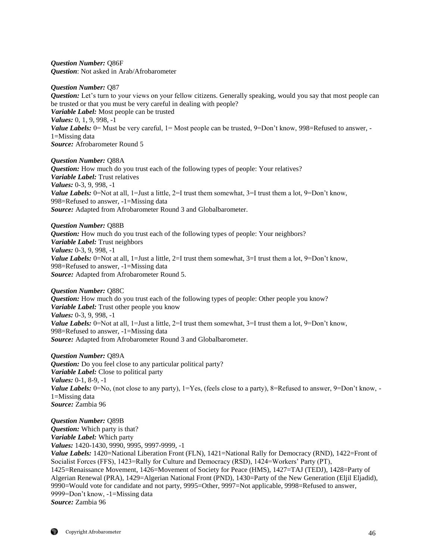*Question Number:* Q86F *Question*: Not asked in Arab/Afrobarometer

*Question Number:* Q87

*Question:* Let's turn to your views on your fellow citizens. Generally speaking, would you say that most people can be trusted or that you must be very careful in dealing with people? *Variable Label:* Most people can be trusted *Values:* 0, 1, 9, 998, -1 *Value Labels:* 0 = Must be very careful, 1 = Most people can be trusted, 9 = Don't know, 998 = Refused to answer, -1=Missing data *Source:* Afrobarometer Round 5

*Question Number:* Q88A *Question:* How much do you trust each of the following types of people: Your relatives? *Variable Label:* Trust relatives *Values:* 0-3, 9, 998, -1 *Value Labels:* 0=Not at all, 1=Just a little, 2=I trust them somewhat, 3=I trust them a lot, 9=Don't know, 998=Refused to answer, -1=Missing data *Source:* Adapted from Afrobarometer Round 3 and Globalbarometer.

*Question Number:* Q88B *Question:* How much do you trust each of the following types of people: Your neighbors? *Variable Label:* Trust neighbors *Values:* 0-3, 9, 998, -1 *Value Labels:* 0=Not at all, 1=Just a little, 2=I trust them somewhat, 3=I trust them a lot, 9=Don't know, 998=Refused to answer, -1=Missing data *Source:* Adapted from Afrobarometer Round 5.

*Question Number:* Q88C

*Question:* How much do you trust each of the following types of people: Other people you know? *Variable Label:* Trust other people you know *Values:* 0-3, 9, 998, -1 *Value Labels:* 0=Not at all, 1=Just a little, 2=I trust them somewhat, 3=I trust them a lot, 9=Don't know, 998=Refused to answer, -1=Missing data *Source:* Adapted from Afrobarometer Round 3 and Globalbarometer.

*Question Number:* Q89A *Question:* Do you feel close to any particular political party? *Variable Label:* Close to political party *Values:* 0-1, 8-9, -1 *Value Labels:* 0=No, (not close to any party), 1=Yes, (feels close to a party), 8=Refused to answer, 9=Don't know, -1=Missing data *Source:* Zambia 96

*Question Number:* Q89B *Question:* Which party is that? *Variable Label:* Which party *Values:* 1420-1430, 9990, 9995, 9997-9999, -1 *Value Labels:* 1420=National Liberation Front (FLN), 1421=National Rally for Democracy (RND), 1422=Front of Socialist Forces (FFS), 1423=Rally for Culture and Democracy (RSD), 1424=Workers' Party (PT), 1425=Renaissance Movement, 1426=Movement of Society for Peace (HMS), 1427=TAJ (TEDJ), 1428=Party of Algerian Renewal (PRA), 1429=Algerian National Front (PND), 1430=Party of the New Generation (Eljil Eljadid), 9990=Would vote for candidate and not party, 9995=Other, 9997=Not applicable, 9998=Refused to answer, 9999=Don't know, -1=Missing data *Source:* Zambia 96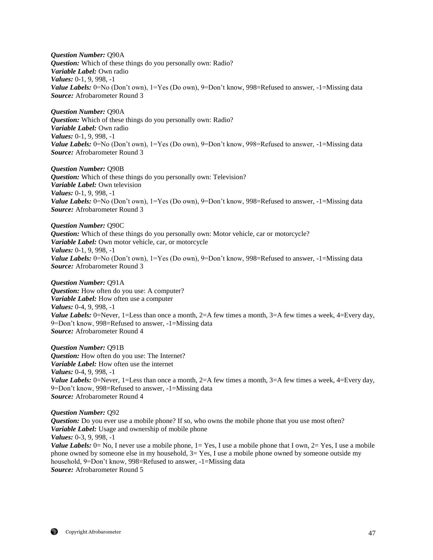*Question Number:* Q90A *Question:* Which of these things do you personally own: Radio? *Variable Label:* Own radio *Values:* 0-1, 9, 998, -1 *Value Labels:* 0=No (Don't own), 1=Yes (Do own), 9=Don't know, 998=Refused to answer, -1=Missing data *Source:* Afrobarometer Round 3

*Question Number:* Q90A *Question:* Which of these things do you personally own: Radio? *Variable Label:* Own radio *Values:* 0-1, 9, 998, -1 *Value Labels:* 0=No (Don't own), 1=Yes (Do own), 9=Don't know, 998=Refused to answer, -1=Missing data *Source:* Afrobarometer Round 3

*Question Number:* Q90B *Question:* Which of these things do you personally own: Television? *Variable Label:* Own television *Values:* 0-1, 9, 998, -1 *Value Labels:* 0=No (Don't own), 1=Yes (Do own), 9=Don't know, 998=Refused to answer, -1=Missing data *Source:* Afrobarometer Round 3

*Question Number:* Q90C *Question:* Which of these things do you personally own: Motor vehicle, car or motorcycle? *Variable Label:* Own motor vehicle, car, or motorcycle *Values:* 0-1, 9, 998, -1 *Value Labels:* 0=No (Don't own), 1=Yes (Do own), 9=Don't know, 998=Refused to answer, -1=Missing data *Source:* Afrobarometer Round 3

*Question Number:* Q91A *Question:* How often do you use: A computer? *Variable Label:* How often use a computer *Values:* 0-4, 9, 998, -1 *Value Labels:* 0=Never, 1=Less than once a month, 2=A few times a month, 3=A few times a week, 4=Every day, 9=Don't know, 998=Refused to answer, -1=Missing data *Source:* Afrobarometer Round 4

*Question Number:* Q91B *Question:* How often do you use: The Internet? *Variable Label:* How often use the internet *Values:* 0-4, 9, 998, -1 *Value Labels:* 0=Never, 1=Less than once a month, 2=A few times a month, 3=A few times a week, 4=Every day, 9=Don't know, 998=Refused to answer, -1=Missing data *Source:* Afrobarometer Round 4

## *Question Number:* Q92

*Question:* Do you ever use a mobile phone? If so, who owns the mobile phone that you use most often? *Variable Label:* Usage and ownership of mobile phone *Values:* 0-3, 9, 998, -1 *Value Labels:*  $0 = No$ , I never use a mobile phone,  $1 = Yes$ , I use a mobile phone that I own,  $2 = Yes$ , I use a mobile phone owned by someone else in my household, 3= Yes, I use a mobile phone owned by someone outside my household, 9=Don't know, 998=Refused to answer, -1=Missing data *Source:* Afrobarometer Round 5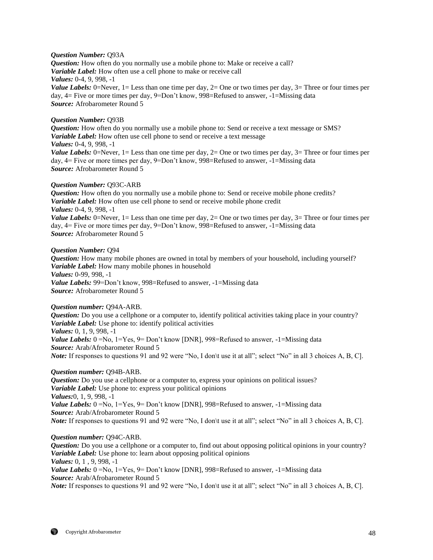## *Question Number:* Q93A

*Question:* How often do you normally use a mobile phone to: Make or receive a call? *Variable Label:* How often use a cell phone to make or receive call *Values:* 0-4, 9, 998, -1 *Value Labels:* 0=Never, 1 = Less than one time per day, 2 = One or two times per day, 3 = Three or four times per day, 4= Five or more times per day, 9=Don't know, 998=Refused to answer, -1=Missing data *Source:* Afrobarometer Round 5

## *Question Number:* Q93B

*Question:* How often do you normally use a mobile phone to: Send or receive a text message or SMS? *Variable Label:* How often use cell phone to send or receive a text message *Values:* 0-4, 9, 998, -1 *Value Labels:* 0=Never, 1= Less than one time per day, 2= One or two times per day, 3= Three or four times per day, 4= Five or more times per day, 9=Don't know, 998=Refused to answer, -1=Missing data

*Source:* Afrobarometer Round 5

## *Question Number:* Q93C-ARB

*Question:* How often do you normally use a mobile phone to: Send or receive mobile phone credits? *Variable Label:* How often use cell phone to send or receive mobile phone credit *Values:* 0-4, 9, 998, -1 *Value Labels:* 0=Never, 1= Less than one time per day, 2= One or two times per day, 3= Three or four times per day, 4= Five or more times per day, 9=Don't know, 998=Refused to answer, -1=Missing data

*Source:* Afrobarometer Round 5

#### *Question Number:* Q94

*Question:* How many mobile phones are owned in total by members of your household, including yourself? *Variable Label:* How many mobile phones in household *Values:* 0-99, 998, -1 *Value Labels:* 99=Don't know, 998=Refused to answer, -1=Missing data *Source:* Afrobarometer Round 5

#### *Question number:* Q94A-ARB.

*Question:* Do you use a cellphone or a computer to, identify political activities taking place in your country? *Variable Label:* Use phone to: identify political activities *Values:* 0, 1, 9, 998, -1 *Value Labels:*  $0 = No$ ,  $1 = Yes$ ,  $9 = Don't know [DNR]$ ,  $998 = Refused$  to answer,  $-1 = Missing$  data *Source:* Arab/Afrobarometer Round 5

*Note:* If responses to questions 91 and 92 were "No, I don't use it at all"; select "No" in all 3 choices A, B, C].

## *Question number:* Q94B-ARB.

*Question:* Do you use a cellphone or a computer to, express your opinions on political issues? *Variable Label:* Use phone to: express your political opinions *Values:*0, 1, 9, 998, -1 *Value Labels:*  $0 = No$ ,  $1 = Yes$ ,  $9 = Don't know [DNR]$ ,  $998 = Refused$  to answer,  $-1 = Missing$  data *Source:* Arab/Afrobarometer Round 5 *Note:* If responses to questions 91 and 92 were "No, I don't use it at all"; select "No" in all 3 choices A, B, C].

#### *Question number:* Q94C-ARB.

*Question:* Do you use a cellphone or a computer to, find out about opposing political opinions in your country? *Variable Label:* Use phone to: learn about opposing political opinions *Values:* 0, 1 , 9, 998, -1

*Value Labels:* 0 =No, 1 = Yes, 9 = Don't know [DNR], 998 = Refused to answer, -1 = Missing data *Source:* Arab/Afrobarometer Round 5

*Note:* If responses to questions 91 and 92 were "No, I don\t use it at all"; select "No" in all 3 choices A, B, C].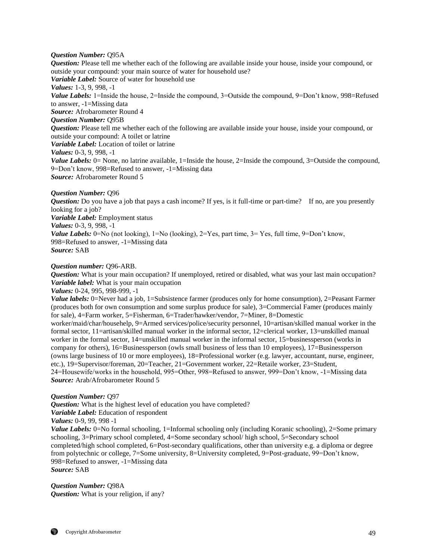#### *Question Number:* Q95A

*Question:* Please tell me whether each of the following are available inside your house, inside your compound, or outside your compound: your main source of water for household use? *Variable Label:* Source of water for household use *Values:* 1-3, 9, 998, -1 *Value Labels:* 1=Inside the house, 2=Inside the compound, 3=Outside the compound, 9=Don't know, 998=Refused to answer, -1=Missing data *Source:* Afrobarometer Round 4 *Question Number:* Q95B *Question:* Please tell me whether each of the following are available inside your house, inside your compound, or outside your compound: A toilet or latrine *Variable Label:* Location of toilet or latrine *Values:* 0-3, 9, 998, -1 *Value Labels:* 0= None, no latrine available, 1=Inside the house, 2=Inside the compound, 3=Outside the compound, 9=Don't know, 998=Refused to answer, -1=Missing data *Source:* Afrobarometer Round 5

*Question Number:* Q96

*Question:* Do you have a job that pays a cash income? If yes, is it full-time or part-time? If no, are you presently looking for a job? *Variable Label:* Employment status *Values:* 0-3, 9, 998, -1 *Value Labels:* 0=No (not looking), 1=No (looking), 2=Yes, part time, 3= Yes, full time, 9=Don't know, 998=Refused to answer, -1=Missing data *Source:* SAB

## *Question number:* Q96-ARB.

*Question:* What is your main occupation? If unemployed, retired or disabled, what was your last main occupation? *Variable label:* What is your main occupation

*Values:* 0-24, 995, 998-999, -1

*Value labels:* 0=Never had a job, 1=Subsistence farmer (produces only for home consumption), 2=Peasant Farmer (produces both for own consumption and some surplus produce for sale), 3=Commercial Famer (produces mainly for sale), 4=Farm worker, 5=Fisherman, 6=Trader/hawker/vendor, 7=Miner, 8=Domestic

worker/maid/char/househelp, 9=Armed services/police/security personnel, 10=artisan/skilled manual worker in the formal sector, 11=artisan/skilled manual worker in the informal sector, 12=clerical worker, 13=unskilled manual worker in the formal sector, 14=unskilled manual worker in the informal sector, 15=businessperson (works in company for others), 16=Businessperson (owls small business of less than 10 employees), 17=Businessperson (owns large business of 10 or more employees), 18=Professional worker (e.g. lawyer, accountant, nurse, engineer, etc.), 19=Supervisor/foreman, 20=Teacher, 21=Government worker, 22=Retaile worker, 23=Student, 24=Housewife/works in the household, 995=Other, 998=Refused to answer, 999=Don't know, -1=Missing data *Source:* Arab/Afrobarometer Round 5

#### *Question Number:* Q97

*Question:* What is the highest level of education you have completed? *Variable Label:* Education of respondent

*Values:* 0-9, 99, 998 -1

*Value Labels:* 0=No formal schooling, 1=Informal schooling only (including Koranic schooling), 2=Some primary schooling, 3=Primary school completed, 4=Some secondary school/ high school, 5=Secondary school completed/high school completed, 6=Post-secondary qualifications, other than university e.g. a diploma or degree from polytechnic or college, 7=Some university, 8=University completed, 9=Post-graduate, 99=Don't know, 998=Refused to answer, -1=Missing data *Source:* SAB

*Question Number:* Q98A *Question:* What is your religion, if any?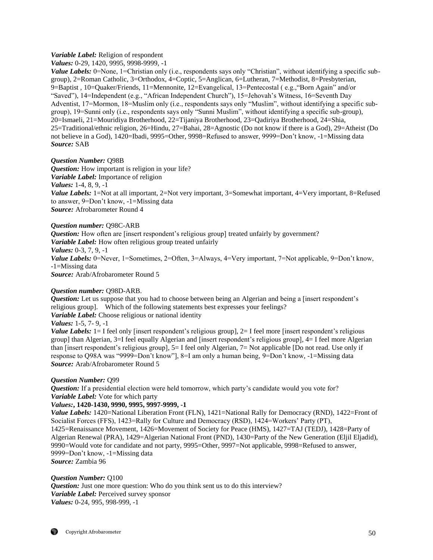# *Variable Label:* Religion of respondent

*Values:* 0-29, 1420, 9995, 9998-9999, -1

*Value Labels:* 0=None, 1=Christian only (i.e., respondents says only "Christian", without identifying a specific subgroup), 2=Roman Catholic, 3=Orthodox, 4=Coptic, 5=Anglican, 6=Lutheran, 7=Methodist, 8=Presbyterian, 9=Baptist , 10=Quaker/Friends, 11=Mennonite, 12=Evangelical, 13=Pentecostal ( e.g.,"Born Again" and/or "Saved"), 14=Independent (e.g., "African Independent Church"), 15=Jehovah's Witness, 16=Seventh Day Adventist, 17=Mormon, 18=Muslim only (i.e., respondents says only "Muslim", without identifying a specific subgroup), 19=Sunni only (i.e., respondents says only "Sunni Muslim", without identifying a specific sub-group), 20=Ismaeli, 21=Mouridiya Brotherhood, 22=Tijaniya Brotherhood, 23=Qadiriya Brotherhood, 24=Shia, 25=Traditional/ethnic religion, 26=Hindu, 27=Bahai, 28=Agnostic (Do not know if there is a God), 29=Atheist (Do not believe in a God), 1420=Ibadi, 9995=Other, 9998=Refused to answer, 9999=Don't know, -1=Missing data *Source:* SAB

# *Question Number:* Q98B

*Question:* How important is religion in your life? *Variable Label:* Importance of religion *Values:* 1-4, 8, 9, -1 *Value Labels:* 1=Not at all important, 2=Not very important, 3=Somewhat important, 4=Very important, 8=Refused to answer, 9=Don't know, -1=Missing data *Source:* Afrobarometer Round 4

*Question number:* Q98C-ARB

*Question:* How often are [insert respondent's religious group] treated unfairly by government? *Variable Label:* How often religious group treated unfairly *Values:* 0-3, 7, 9, -1 *Value Labels:* 0=Never, 1=Sometimes, 2=Often, 3=Always, 4=Very important, 7=Not applicable, 9=Don't know, -1=Missing data *Source:* Arab/Afrobarometer Round 5

## *Question number:* Q98D-ARB.

*Question:* Let us suppose that you had to choose between being an Algerian and being a [insert respondent's religious group]. Which of the following statements best expresses your feelings? *Variable Label:* Choose religious or national identity *Values:* 1-5, 7- 9, -1

*Value Labels:* 1= I feel only [insert respondent's religious group], 2= I feel more [insert respondent's religious group] than Algerian, 3=I feel equally Algerian and [insert respondent's religious group], 4= I feel more Algerian than [insert respondent's religious group], 5= I feel only Algerian, 7= Not applicable [Do not read. Use only if response to Q98A was "9999=Don't know"], 8=I am only a human being, 9=Don't know, -1=Missing data *Source:* Arab/Afrobarometer Round 5

## *Question Number:* Q99

*Question:* If a presidential election were held tomorrow, which party's candidate would you vote for? *Variable Label:* Vote for which party

## *Values:***, 1420-1430, 9990, 9995, 9997-9999, -1**

*Value Labels:* 1420=National Liberation Front (FLN), 1421=National Rally for Democracy (RND), 1422=Front of Socialist Forces (FFS), 1423=Rally for Culture and Democracy (RSD), 1424=Workers' Party (PT), 1425=Renaissance Movement, 1426=Movement of Society for Peace (HMS), 1427=TAJ (TEDJ), 1428=Party of Algerian Renewal (PRA), 1429=Algerian National Front (PND), 1430=Party of the New Generation (Eljil Eljadid), 9990=Would vote for candidate and not party, 9995=Other, 9997=Not applicable, 9998=Refused to answer, 9999=Don't know, -1=Missing data *Source:* Zambia 96

## *Question Number:* Q100

*Question:* Just one more question: Who do you think sent us to do this interview? *Variable Label:* Perceived survey sponsor *Values:* 0-24, 995, 998-999, -1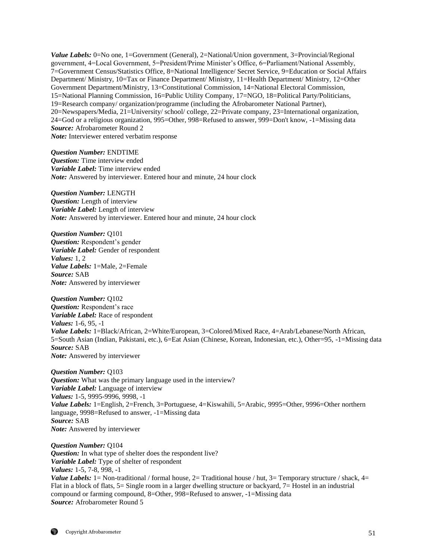*Value Labels:* 0=No one, 1=Government (General), 2=National/Union government, 3=Provincial/Regional government, 4=Local Government, 5=President/Prime Minister's Office, 6=Parliament/National Assembly, 7=Government Census/Statistics Office, 8=National Intelligence/ Secret Service, 9=Education or Social Affairs Department/ Ministry, 10=Tax or Finance Department/ Ministry, 11=Health Department/ Ministry, 12=Other Government Department/Ministry, 13=Constitutional Commission, 14=National Electoral Commission, 15=National Planning Commission, 16=Public Utility Company, 17=NGO, 18=Political Party/Politicians, 19=Research company/ organization/programme (including the Afrobarometer National Partner), 20=Newspapers/Media, 21=University/ school/ college, 22=Private company, 23=International organization, 24=God or a religious organization, 995=Other, 998=Refused to answer, 999=Don't know, -1=Missing data *Source:* Afrobarometer Round 2 *Note:* Interviewer entered verbatim response

*Question Number:* ENDTIME *Question:* Time interview ended *Variable Label:* Time interview ended *Note:* Answered by interviewer. Entered hour and minute, 24 hour clock

*Question Number:* LENGTH *Question:* Length of interview *Variable Label:* Length of interview *Note:* Answered by interviewer. Entered hour and minute, 24 hour clock

*Question Number:* Q101 *Question:* Respondent's gender *Variable Label:* Gender of respondent *Values:* 1, 2 *Value Labels:* 1=Male, 2=Female *Source:* SAB *Note:* Answered by interviewer

*Question Number:* Q102 *Question:* Respondent's race *Variable Label:* Race of respondent *Values:* 1-6, 95, -1 *Value Labels:* 1=Black/African, 2=White/European, 3=Colored/Mixed Race, 4=Arab/Lebanese/North African, 5=South Asian (Indian, Pakistani, etc.), 6=Eat Asian (Chinese, Korean, Indonesian, etc.), Other=95, -1=Missing data *Source:* SAB *Note:* Answered by interviewer

*Question Number:* Q103 *Question:* What was the primary language used in the interview? *Variable Label:* Language of interview *Values:* 1-5, 9995-9996, 9998, -1 *Value Labels:* 1=English, 2=French, 3=Portuguese, 4=Kiswahili, 5=Arabic, 9995=Other, 9996=Other northern language, 9998=Refused to answer, -1=Missing data *Source:* SAB *Note:* Answered by interviewer

*Question Number:* Q104 *Question:* In what type of shelter does the respondent live? *Variable Label:* Type of shelter of respondent *Values:* 1-5, 7-8, 998, -1 *Value Labels:* 1 = Non-traditional / formal house, 2 = Traditional house / hut, 3 = Temporary structure / shack, 4 = Flat in a block of flats, 5= Single room in a larger dwelling structure or backyard, 7= Hostel in an industrial compound or farming compound, 8=Other, 998=Refused to answer, -1=Missing data *Source:* Afrobarometer Round 5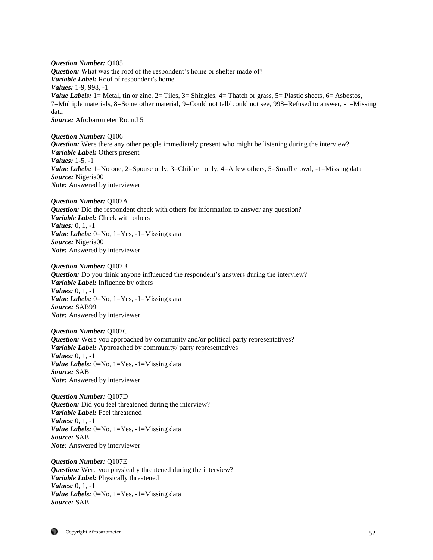*Question Number:* Q105 *Question:* What was the roof of the respondent's home or shelter made of? *Variable Label:* Roof of respondent's home *Values:* 1-9, 998, -1 *Value Labels:* 1 = Metal, tin or zinc, 2 = Tiles, 3 = Shingles, 4 = Thatch or grass, 5 = Plastic sheets, 6 = Asbestos, 7=Multiple materials, 8=Some other material, 9=Could not tell/ could not see, 998=Refused to answer, -1=Missing data *Source:* Afrobarometer Round 5

*Question Number:* Q106

*Question:* Were there any other people immediately present who might be listening during the interview? *Variable Label:* Others present *Values:* 1-5, -1 *Value Labels:* 1=No one, 2=Spouse only, 3=Children only, 4=A few others, 5=Small crowd, -1=Missing data *Source:* Nigeria00 *Note:* Answered by interviewer

*Question Number:* Q107A *Question:* Did the respondent check with others for information to answer any question? *Variable Label:* Check with others *Values:* 0, 1, -1 *Value Labels:* 0=No, 1=Yes, -1=Missing data *Source:* Nigeria00 *Note:* Answered by interviewer

*Question Number:* Q107B *Question:* Do you think anyone influenced the respondent's answers during the interview? *Variable Label:* Influence by others *Values:* 0, 1, -1 *Value Labels:* 0=No, 1=Yes, -1=Missing data *Source:* SAB99 *Note:* Answered by interviewer

*Question Number:* Q107C *Question:* Were you approached by community and/or political party representatives? *Variable Label:* Approached by community/ party representatives *Values:* 0, 1, -1 *Value Labels:* 0=No, 1=Yes, -1=Missing data *Source:* SAB *Note:* Answered by interviewer

*Question Number:* Q107D *Question:* Did you feel threatened during the interview? *Variable Label:* Feel threatened *Values:* 0, 1, -1 *Value Labels:* 0=No, 1=Yes, -1=Missing data *Source:* SAB *Note:* Answered by interviewer

*Question Number:* Q107E *Question:* Were you physically threatened during the interview? *Variable Label:* Physically threatened *Values:* 0, 1, -1 *Value Labels:* 0=No, 1=Yes, -1=Missing data *Source:* SAB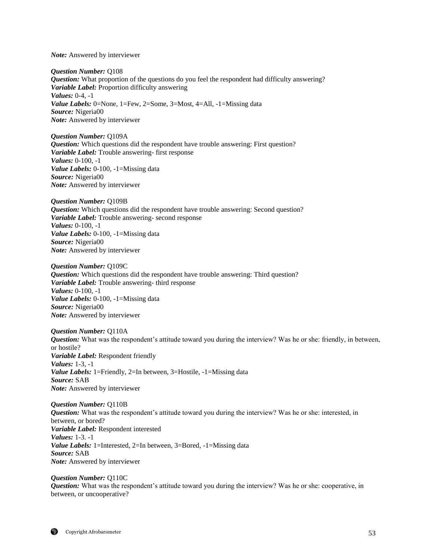*Note:* Answered by interviewer

*Question Number:* Q108 *Question:* What proportion of the questions do you feel the respondent had difficulty answering? *Variable Label:* Proportion difficulty answering *Values:* 0-4, -1 *Value Labels:* 0=None, 1=Few, 2=Some, 3=Most, 4=All, -1=Missing data *Source:* Nigeria00 *Note:* Answered by interviewer

#### *Question Number:* Q109A

*Question:* Which questions did the respondent have trouble answering: First question? *Variable Label:* Trouble answering- first response *Values:* 0-100, -1 *Value Labels:* 0-100, -1=Missing data *Source:* Nigeria00 *Note:* Answered by interviewer

*Question Number:* Q109B *Question:* Which questions did the respondent have trouble answering: Second question? *Variable Label:* Trouble answering- second response *Values:* 0-100, -1 *Value Labels:* 0-100, -1=Missing data *Source:* Nigeria00 *Note:* Answered by interviewer

*Question Number:* Q109C *Question:* Which questions did the respondent have trouble answering: Third question? *Variable Label:* Trouble answering- third response *Values:* 0-100, -1 *Value Labels:* 0-100, -1=Missing data

*Source:* Nigeria00 *Note:* Answered by interviewer

#### *Question Number:* Q110A

*Question:* What was the respondent's attitude toward you during the interview? Was he or she: friendly, in between, or hostile? *Variable Label:* Respondent friendly *Values:* 1-3, -1 *Value Labels:* 1=Friendly, 2=In between, 3=Hostile, -1=Missing data *Source:* SAB *Note:* Answered by interviewer

#### *Question Number:* Q110B

*Question:* What was the respondent's attitude toward you during the interview? Was he or she: interested, in between, or bored? *Variable Label:* Respondent interested *Values:* 1-3. -1 *Value Labels:* 1=Interested, 2=In between, 3=Bored, -1=Missing data *Source:* SAB *Note:* Answered by interviewer

#### *Question Number:* Q110C

*Question:* What was the respondent's attitude toward you during the interview? Was he or she: cooperative, in between, or uncooperative?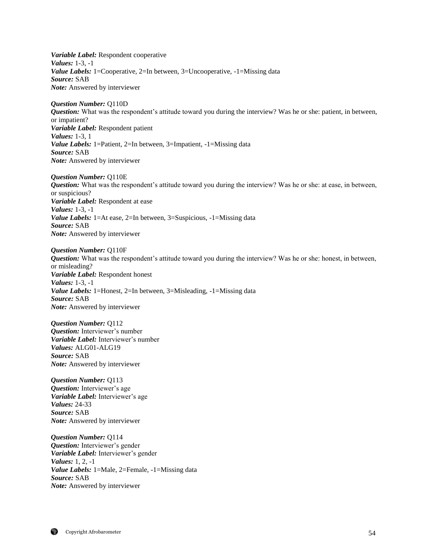*Variable Label:* Respondent cooperative *Values:* 1-3, -1 *Value Labels:* 1=Cooperative, 2=In between, 3=Uncooperative, -1=Missing data *Source:* SAB *Note:* Answered by interviewer

*Question Number:* Q110D *Question:* What was the respondent's attitude toward you during the interview? Was he or she: patient, in between, or impatient? *Variable Label:* Respondent patient *Values:* 1-3, 1 *Value Labels:* 1=Patient, 2=In between, 3=Impatient, -1=Missing data *Source:* SAB *Note:* Answered by interviewer

*Question Number:* Q110E

*Question:* What was the respondent's attitude toward you during the interview? Was he or she: at ease, in between, or suspicious? *Variable Label:* Respondent at ease *Values:* 1-3, -1 *Value Labels:* 1=At ease, 2=In between, 3=Suspicious, -1=Missing data *Source:* SAB *Note:* Answered by interviewer

*Question Number:* Q110F *Question:* What was the respondent's attitude toward you during the interview? Was he or she: honest, in between, or misleading? *Variable Label:* Respondent honest *Values:* 1-3, -1 *Value Labels:* 1=Honest, 2=In between, 3=Misleading, -1=Missing data *Source:* SAB *Note:* Answered by interviewer

*Question Number:* Q112 *Question:* Interviewer's number *Variable Label:* Interviewer's number *Values:* ALG01-ALG19 *Source:* SAB *Note:* Answered by interviewer

*Question Number:* Q113 *Question:* Interviewer's age *Variable Label:* Interviewer's age *Values:* 24-33 *Source:* SAB *Note:* Answered by interviewer

*Question Number:* Q114 *Question:* Interviewer's gender *Variable Label:* Interviewer's gender *Values:* 1, 2, -1 *Value Labels:* 1=Male, 2=Female, -1=Missing data *Source:* SAB *Note:* Answered by interviewer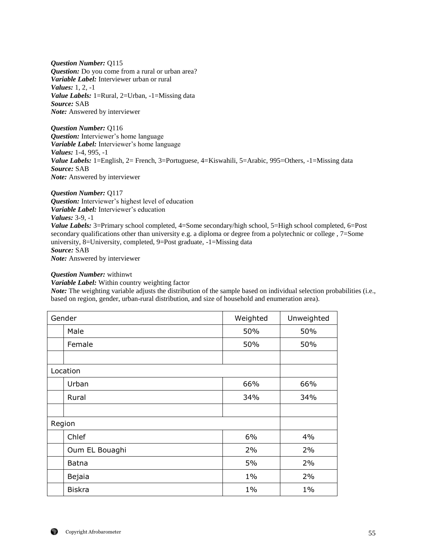*Question Number:* Q115 *Question:* Do you come from a rural or urban area? *Variable Label:* Interviewer urban or rural *Values:* 1, 2, -1 *Value Labels:* 1=Rural, 2=Urban, -1=Missing data *Source:* SAB *Note:* Answered by interviewer

*Question Number:* Q116 *Question:* Interviewer's home language *Variable Label:* Interviewer's home language *Values:* 1-4, 995, -1 *Value Labels:* 1=English, 2= French, 3=Portuguese, 4=Kiswahili, 5=Arabic, 995=Others, -1=Missing data *Source:* SAB *Note:* Answered by interviewer

*Question Number:* Q117 *Question:* Interviewer's highest level of education *Variable Label:* Interviewer's education *Values:* 3-9, -1 *Value Labels:* 3=Primary school completed, 4=Some secondary/high school, 5=High school completed, 6=Post secondary qualifications other than university e.g. a diploma or degree from a polytechnic or college , 7=Some university, 8=University, completed, 9=Post graduate, -1=Missing data *Source:* SAB *Note:* Answered by interviewer

## *Question Number:* withinwt

*Variable Label:* Within country weighting factor

*Note:* The weighting variable adjusts the distribution of the sample based on individual selection probabilities (i.e., based on region, gender, urban-rural distribution, and size of household and enumeration area).

| Gender |                | Weighted | Unweighted |
|--------|----------------|----------|------------|
|        | Male           | 50%      | 50%        |
|        | Female         | 50%      | 50%        |
|        |                |          |            |
|        | Location       |          |            |
|        | Urban          | 66%      | 66%        |
|        | Rural          | 34%      | 34%        |
|        |                |          |            |
| Region |                |          |            |
|        | Chlef          | 6%       | 4%         |
|        | Oum EL Bouaghi | 2%       | 2%         |
|        | <b>Batna</b>   | 5%       | 2%         |
|        | Bejaia         | $1\%$    | 2%         |
|        | <b>Biskra</b>  | $1\%$    | $1\%$      |